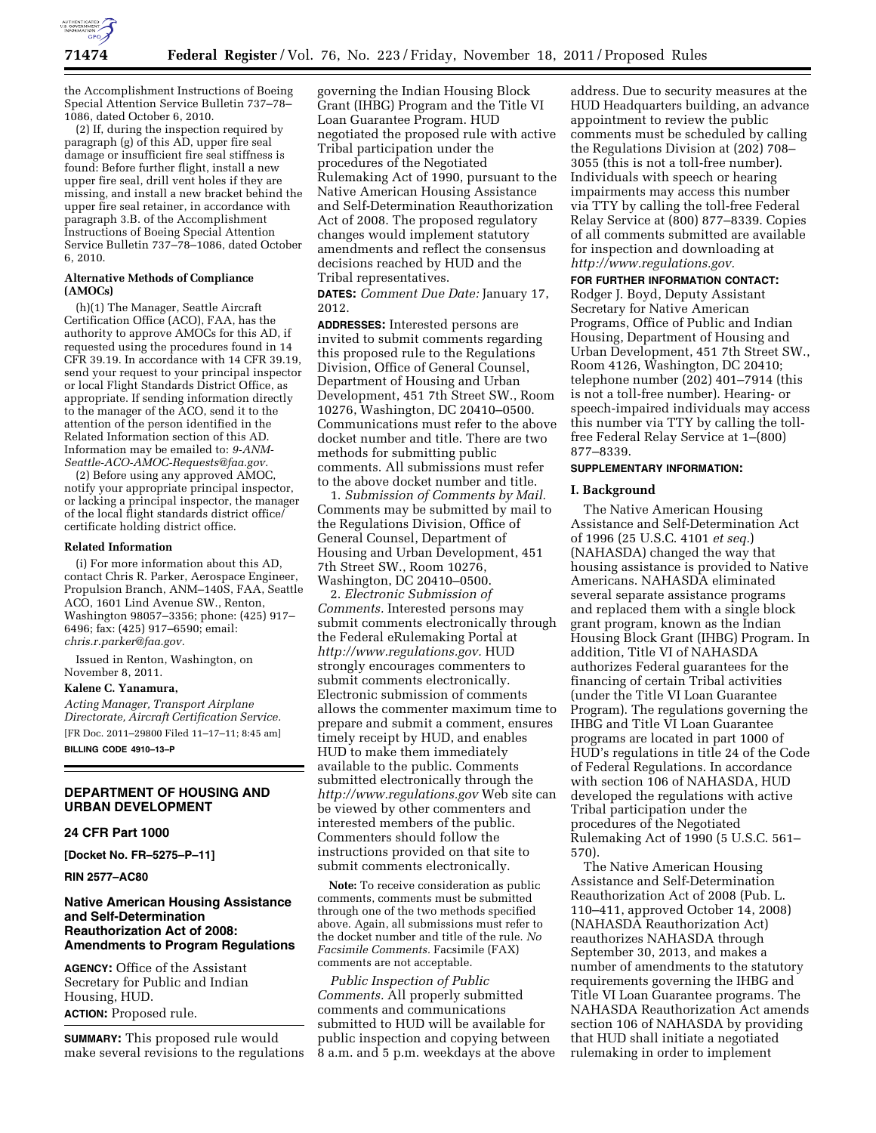

the Accomplishment Instructions of Boeing Special Attention Service Bulletin 737–78– 1086, dated October 6, 2010.

(2) If, during the inspection required by paragraph (g) of this AD, upper fire seal damage or insufficient fire seal stiffness is found: Before further flight, install a new upper fire seal, drill vent holes if they are missing, and install a new bracket behind the upper fire seal retainer, in accordance with paragraph 3.B. of the Accomplishment Instructions of Boeing Special Attention Service Bulletin 737–78–1086, dated October 6, 2010.

### **Alternative Methods of Compliance (AMOCs)**

(h)(1) The Manager, Seattle Aircraft Certification Office (ACO), FAA, has the authority to approve AMOCs for this AD, if requested using the procedures found in 14 CFR 39.19. In accordance with 14 CFR 39.19, send your request to your principal inspector or local Flight Standards District Office, as appropriate. If sending information directly to the manager of the ACO, send it to the attention of the person identified in the Related Information section of this AD. Information may be emailed to: *[9-ANM-](mailto:9-ANM-Seattle-ACO-AMOC-Requests@faa.gov)[Seattle-ACO-AMOC-Requests@faa.gov.](mailto:9-ANM-Seattle-ACO-AMOC-Requests@faa.gov)* 

(2) Before using any approved AMOC, notify your appropriate principal inspector, or lacking a principal inspector, the manager of the local flight standards district office/ certificate holding district office.

#### **Related Information**

(i) For more information about this AD, contact Chris R. Parker, Aerospace Engineer, Propulsion Branch, ANM–140S, FAA, Seattle ACO, 1601 Lind Avenue SW., Renton, Washington 98057–3356; phone: (425) 917– 6496; fax: (425) 917–6590; email: *[chris.r.parker@faa.gov.](mailto:chris.r.parker@faa.gov)* 

Issued in Renton, Washington, on November 8, 2011.

#### **Kalene C. Yanamura,**

*Acting Manager, Transport Airplane Directorate, Aircraft Certification Service.*  [FR Doc. 2011–29800 Filed 11–17–11; 8:45 am] **BILLING CODE 4910–13–P** 

# **DEPARTMENT OF HOUSING AND URBAN DEVELOPMENT**

### **24 CFR Part 1000**

**[Docket No. FR–5275–P–11]** 

**RIN 2577–AC80** 

# **Native American Housing Assistance and Self-Determination Reauthorization Act of 2008: Amendments to Program Regulations**

**AGENCY:** Office of the Assistant Secretary for Public and Indian Housing, HUD. **ACTION:** Proposed rule.

**SUMMARY:** This proposed rule would make several revisions to the regulations

governing the Indian Housing Block Grant (IHBG) Program and the Title VI Loan Guarantee Program. HUD negotiated the proposed rule with active Tribal participation under the procedures of the Negotiated Rulemaking Act of 1990, pursuant to the Native American Housing Assistance and Self-Determination Reauthorization Act of 2008. The proposed regulatory changes would implement statutory amendments and reflect the consensus decisions reached by HUD and the Tribal representatives.

**DATES:** *Comment Due Date:* January 17, 2012.

**ADDRESSES:** Interested persons are invited to submit comments regarding this proposed rule to the Regulations Division, Office of General Counsel, Department of Housing and Urban Development, 451 7th Street SW., Room 10276, Washington, DC 20410–0500. Communications must refer to the above docket number and title. There are two methods for submitting public comments. All submissions must refer to the above docket number and title.

1. *Submission of Comments by Mail.*  Comments may be submitted by mail to the Regulations Division, Office of General Counsel, Department of Housing and Urban Development, 451 7th Street SW., Room 10276, Washington, DC 20410–0500.

2. *Electronic Submission of Comments.* Interested persons may submit comments electronically through the Federal eRulemaking Portal at *[http://www.regulations.gov.](http://www.regulations.gov)* HUD strongly encourages commenters to submit comments electronically. Electronic submission of comments allows the commenter maximum time to prepare and submit a comment, ensures timely receipt by HUD, and enables HUD to make them immediately available to the public. Comments submitted electronically through the *<http://www.regulations.gov>* Web site can be viewed by other commenters and interested members of the public. Commenters should follow the instructions provided on that site to submit comments electronically.

**Note:** To receive consideration as public comments, comments must be submitted through one of the two methods specified above. Again, all submissions must refer to the docket number and title of the rule. *No Facsimile Comments.* Facsimile (FAX) comments are not acceptable.

*Public Inspection of Public Comments.* All properly submitted comments and communications submitted to HUD will be available for public inspection and copying between 8 a.m. and 5 p.m. weekdays at the above

address. Due to security measures at the HUD Headquarters building, an advance appointment to review the public comments must be scheduled by calling the Regulations Division at (202) 708– 3055 (this is not a toll-free number). Individuals with speech or hearing impairments may access this number via TTY by calling the toll-free Federal Relay Service at (800) 877–8339. Copies of all comments submitted are available for inspection and downloading at *[http://www.regulations.gov.](http://www.regulations.gov)* 

#### **FOR FURTHER INFORMATION CONTACT:**

Rodger J. Boyd, Deputy Assistant Secretary for Native American Programs, Office of Public and Indian Housing, Department of Housing and Urban Development, 451 7th Street SW., Room 4126, Washington, DC 20410; telephone number (202) 401–7914 (this is not a toll-free number). Hearing- or speech-impaired individuals may access this number via TTY by calling the tollfree Federal Relay Service at 1–(800) 877–8339.

### **SUPPLEMENTARY INFORMATION:**

#### **I. Background**

The Native American Housing Assistance and Self-Determination Act of 1996 (25 U.S.C. 4101 *et seq.*) (NAHASDA) changed the way that housing assistance is provided to Native Americans. NAHASDA eliminated several separate assistance programs and replaced them with a single block grant program, known as the Indian Housing Block Grant (IHBG) Program. In addition, Title VI of NAHASDA authorizes Federal guarantees for the financing of certain Tribal activities (under the Title VI Loan Guarantee Program). The regulations governing the IHBG and Title VI Loan Guarantee programs are located in part 1000 of HUD's regulations in title 24 of the Code of Federal Regulations. In accordance with section 106 of NAHASDA, HUD developed the regulations with active Tribal participation under the procedures of the Negotiated Rulemaking Act of 1990 (5 U.S.C. 561– 570).

The Native American Housing Assistance and Self-Determination Reauthorization Act of 2008 (Pub. L. 110–411, approved October 14, 2008) (NAHASDA Reauthorization Act) reauthorizes NAHASDA through September 30, 2013, and makes a number of amendments to the statutory requirements governing the IHBG and Title VI Loan Guarantee programs. The NAHASDA Reauthorization Act amends section 106 of NAHASDA by providing that HUD shall initiate a negotiated rulemaking in order to implement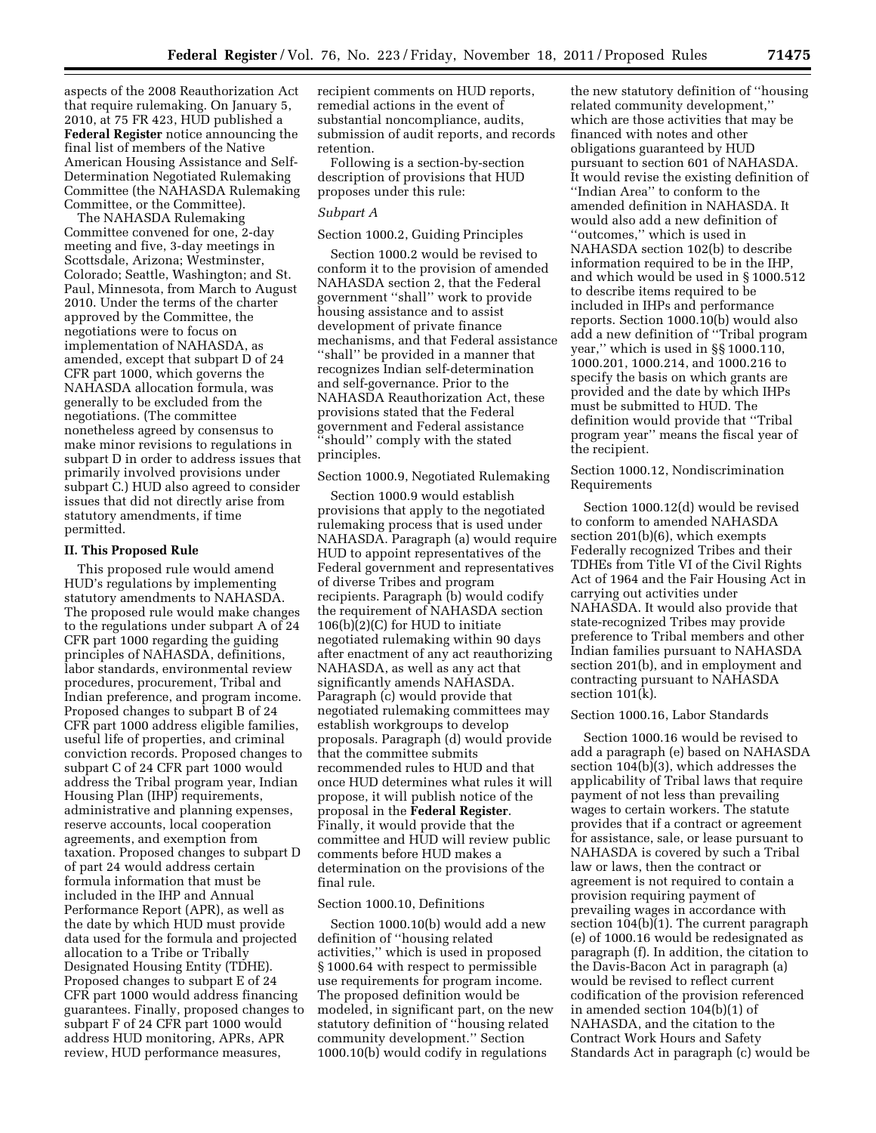aspects of the 2008 Reauthorization Act that require rulemaking. On January 5, 2010, at 75 FR 423, HUD published a **Federal Register** notice announcing the final list of members of the Native American Housing Assistance and Self-Determination Negotiated Rulemaking Committee (the NAHASDA Rulemaking Committee, or the Committee).

The NAHASDA Rulemaking Committee convened for one, 2-day meeting and five, 3-day meetings in Scottsdale, Arizona; Westminster, Colorado; Seattle, Washington; and St. Paul, Minnesota, from March to August 2010. Under the terms of the charter approved by the Committee, the negotiations were to focus on implementation of NAHASDA, as amended, except that subpart D of 24 CFR part 1000, which governs the NAHASDA allocation formula, was generally to be excluded from the negotiations. (The committee nonetheless agreed by consensus to make minor revisions to regulations in subpart D in order to address issues that primarily involved provisions under subpart C.) HUD also agreed to consider issues that did not directly arise from statutory amendments, if time permitted.

#### **II. This Proposed Rule**

This proposed rule would amend HUD's regulations by implementing statutory amendments to NAHASDA. The proposed rule would make changes to the regulations under subpart A of 24 CFR part 1000 regarding the guiding principles of NAHASDA, definitions, labor standards, environmental review procedures, procurement, Tribal and Indian preference, and program income. Proposed changes to subpart B of 24 CFR part 1000 address eligible families, useful life of properties, and criminal conviction records. Proposed changes to subpart C of 24 CFR part 1000 would address the Tribal program year, Indian Housing Plan (IHP) requirements, administrative and planning expenses, reserve accounts, local cooperation agreements, and exemption from taxation. Proposed changes to subpart D of part 24 would address certain formula information that must be included in the IHP and Annual Performance Report (APR), as well as the date by which HUD must provide data used for the formula and projected allocation to a Tribe or Tribally Designated Housing Entity (TDHE). Proposed changes to subpart E of 24 CFR part 1000 would address financing guarantees. Finally, proposed changes to subpart F of 24 CFR part 1000 would address HUD monitoring, APRs, APR review, HUD performance measures,

recipient comments on HUD reports, remedial actions in the event of substantial noncompliance, audits, submission of audit reports, and records retention.

Following is a section-by-section description of provisions that HUD proposes under this rule:

### *Subpart A*

Section 1000.2, Guiding Principles

Section 1000.2 would be revised to conform it to the provision of amended NAHASDA section 2, that the Federal government ''shall'' work to provide housing assistance and to assist development of private finance mechanisms, and that Federal assistance ''shall'' be provided in a manner that recognizes Indian self-determination and self-governance. Prior to the NAHASDA Reauthorization Act, these provisions stated that the Federal government and Federal assistance ''should'' comply with the stated principles.

### Section 1000.9, Negotiated Rulemaking

Section 1000.9 would establish provisions that apply to the negotiated rulemaking process that is used under NAHASDA. Paragraph (a) would require HUD to appoint representatives of the Federal government and representatives of diverse Tribes and program recipients. Paragraph (b) would codify the requirement of NAHASDA section 106(b)(2)(C) for HUD to initiate negotiated rulemaking within 90 days after enactment of any act reauthorizing NAHASDA, as well as any act that significantly amends NAHASDA. Paragraph (c) would provide that negotiated rulemaking committees may establish workgroups to develop proposals. Paragraph (d) would provide that the committee submits recommended rules to HUD and that once HUD determines what rules it will propose, it will publish notice of the proposal in the **Federal Register**. Finally, it would provide that the committee and HUD will review public comments before HUD makes a determination on the provisions of the final rule.

### Section 1000.10, Definitions

Section 1000.10(b) would add a new definition of ''housing related activities,'' which is used in proposed § 1000.64 with respect to permissible use requirements for program income. The proposed definition would be modeled, in significant part, on the new statutory definition of ''housing related community development.'' Section 1000.10(b) would codify in regulations

the new statutory definition of ''housing related community development,'' which are those activities that may be financed with notes and other obligations guaranteed by HUD pursuant to section 601 of NAHASDA. It would revise the existing definition of ''Indian Area'' to conform to the amended definition in NAHASDA. It would also add a new definition of ''outcomes,'' which is used in NAHASDA section 102(b) to describe information required to be in the IHP, and which would be used in § 1000.512 to describe items required to be included in IHPs and performance reports. Section 1000.10(b) would also add a new definition of ''Tribal program year,'' which is used in §§ 1000.110, 1000.201, 1000.214, and 1000.216 to specify the basis on which grants are provided and the date by which IHPs must be submitted to HUD. The definition would provide that ''Tribal program year'' means the fiscal year of the recipient.

Section 1000.12, Nondiscrimination Requirements

Section 1000.12(d) would be revised to conform to amended NAHASDA section 201(b)(6), which exempts Federally recognized Tribes and their TDHEs from Title VI of the Civil Rights Act of 1964 and the Fair Housing Act in carrying out activities under NAHASDA. It would also provide that state-recognized Tribes may provide preference to Tribal members and other Indian families pursuant to NAHASDA section 201(b), and in employment and contracting pursuant to NAHASDA section 101(k).

# Section 1000.16, Labor Standards

Section 1000.16 would be revised to add a paragraph (e) based on NAHASDA section 104(b)(3), which addresses the applicability of Tribal laws that require payment of not less than prevailing wages to certain workers. The statute provides that if a contract or agreement for assistance, sale, or lease pursuant to NAHASDA is covered by such a Tribal law or laws, then the contract or agreement is not required to contain a provision requiring payment of prevailing wages in accordance with section 104(b)(1). The current paragraph (e) of 1000.16 would be redesignated as paragraph (f). In addition, the citation to the Davis-Bacon Act in paragraph (a) would be revised to reflect current codification of the provision referenced in amended section 104(b)(1) of NAHASDA, and the citation to the Contract Work Hours and Safety Standards Act in paragraph (c) would be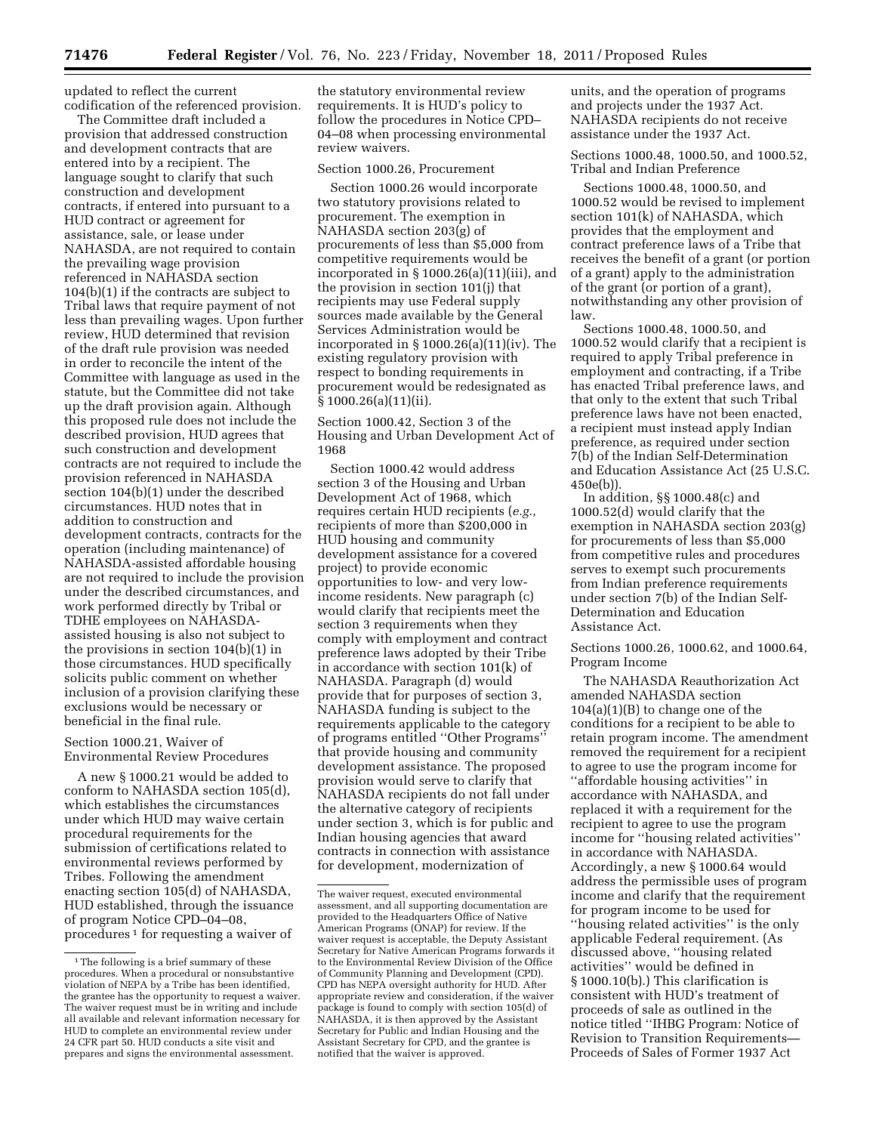updated to reflect the current codification of the referenced provision.

The Committee draft included a provision that addressed construction and development contracts that are entered into by a recipient. The language sought to clarify that such construction and development contracts, if entered into pursuant to a HUD contract or agreement for assistance, sale, or lease under NAHASDA, are not required to contain the prevailing wage provision referenced in NAHASDA section 104(b)(1) if the contracts are subject to Tribal laws that require payment of not less than prevailing wages. Upon further review, HUD determined that revision of the draft rule provision was needed in order to reconcile the intent of the Committee with language as used in the statute, but the Committee did not take up the draft provision again. Although this proposed rule does not include the described provision, HUD agrees that such construction and development contracts are not required to include the provision referenced in NAHASDA section 104(b)(1) under the described circumstances. HUD notes that in addition to construction and development contracts, contracts for the operation (including maintenance) of NAHASDA-assisted affordable housing are not required to include the provision under the described circumstances, and work performed directly by Tribal or TDHE employees on NAHASDAassisted housing is also not subject to the provisions in section 104(b)(1) in those circumstances. HUD specifically solicits public comment on whether inclusion of a provision clarifying these exclusions would be necessary or beneficial in the final rule.

# Section 1000.21, Waiver of Environmental Review Procedures

A new § 1000.21 would be added to conform to NAHASDA section 105(d), which establishes the circumstances under which HUD may waive certain procedural requirements for the submission of certifications related to environmental reviews performed by Tribes. Following the amendment enacting section 105(d) of NAHASDA, HUD established, through the issuance of program Notice CPD–04–08, procedures 1 for requesting a waiver of

the statutory environmental review requirements. It is HUD's policy to follow the procedures in Notice CPD– 04–08 when processing environmental review waivers.

Section 1000.26, Procurement

Section 1000.26 would incorporate two statutory provisions related to procurement. The exemption in NAHASDA section 203(g) of procurements of less than \$5,000 from competitive requirements would be incorporated in § 1000.26(a)(11)(iii), and the provision in section 101(j) that recipients may use Federal supply sources made available by the General Services Administration would be incorporated in  $\S 1000.26(a)(11)(iv)$ . The existing regulatory provision with respect to bonding requirements in procurement would be redesignated as  $\bar{\S}$  1000.26(a)(11)(ii).

Section 1000.42, Section 3 of the Housing and Urban Development Act of 1968

Section 1000.42 would address section 3 of the Housing and Urban Development Act of 1968, which requires certain HUD recipients (*e.g.,*  recipients of more than \$200,000 in HUD housing and community development assistance for a covered project) to provide economic opportunities to low- and very lowincome residents. New paragraph (c) would clarify that recipients meet the section 3 requirements when they comply with employment and contract preference laws adopted by their Tribe in accordance with section 101(k) of NAHASDA. Paragraph (d) would provide that for purposes of section 3, NAHASDA funding is subject to the requirements applicable to the category of programs entitled ''Other Programs'' that provide housing and community development assistance. The proposed provision would serve to clarify that NAHASDA recipients do not fall under the alternative category of recipients under section 3, which is for public and Indian housing agencies that award contracts in connection with assistance for development, modernization of

units, and the operation of programs and projects under the 1937 Act. NAHASDA recipients do not receive assistance under the 1937 Act.

Sections 1000.48, 1000.50, and 1000.52, Tribal and Indian Preference

Sections 1000.48, 1000.50, and 1000.52 would be revised to implement section 101(k) of NAHASDA, which provides that the employment and contract preference laws of a Tribe that receives the benefit of a grant (or portion of a grant) apply to the administration of the grant (or portion of a grant), notwithstanding any other provision of law.

Sections 1000.48, 1000.50, and 1000.52 would clarify that a recipient is required to apply Tribal preference in employment and contracting, if a Tribe has enacted Tribal preference laws, and that only to the extent that such Tribal preference laws have not been enacted, a recipient must instead apply Indian preference, as required under section 7(b) of the Indian Self-Determination and Education Assistance Act (25 U.S.C. 450e(b)).

In addition, §§ 1000.48(c) and 1000.52(d) would clarify that the exemption in NAHASDA section 203(g) for procurements of less than \$5,000 from competitive rules and procedures serves to exempt such procurements from Indian preference requirements under section 7(b) of the Indian Self-Determination and Education Assistance Act.

Sections 1000.26, 1000.62, and 1000.64, Program Income

The NAHASDA Reauthorization Act amended NAHASDA section  $104(a)(1)(B)$  to change one of the conditions for a recipient to be able to retain program income. The amendment removed the requirement for a recipient to agree to use the program income for ''affordable housing activities'' in accordance with NAHASDA, and replaced it with a requirement for the recipient to agree to use the program income for ''housing related activities'' in accordance with NAHASDA. Accordingly, a new § 1000.64 would address the permissible uses of program income and clarify that the requirement for program income to be used for ''housing related activities'' is the only applicable Federal requirement. (As discussed above, ''housing related activities'' would be defined in § 1000.10(b).) This clarification is consistent with HUD's treatment of proceeds of sale as outlined in the notice titled ''IHBG Program: Notice of Revision to Transition Requirements— Proceeds of Sales of Former 1937 Act

<sup>&</sup>lt;sup>1</sup>The following is a brief summary of these procedures. When a procedural or nonsubstantive violation of NEPA by a Tribe has been identified, the grantee has the opportunity to request a waiver. The waiver request must be in writing and include all available and relevant information necessary for HUD to complete an environmental review under 24 CFR part 50. HUD conducts a site visit and prepares and signs the environmental assessment.

The waiver request, executed environmental assessment, and all supporting documentation are provided to the Headquarters Office of Native American Programs (ONAP) for review. If the waiver request is acceptable, the Deputy Assistant Secretary for Native American Programs forwards it to the Environmental Review Division of the Office of Community Planning and Development (CPD). CPD has NEPA oversight authority for HUD. After appropriate review and consideration, if the waiver package is found to comply with section 105(d) of NAHASDA, it is then approved by the Assistant Secretary for Public and Indian Housing and the Assistant Secretary for CPD, and the grantee is notified that the waiver is approved.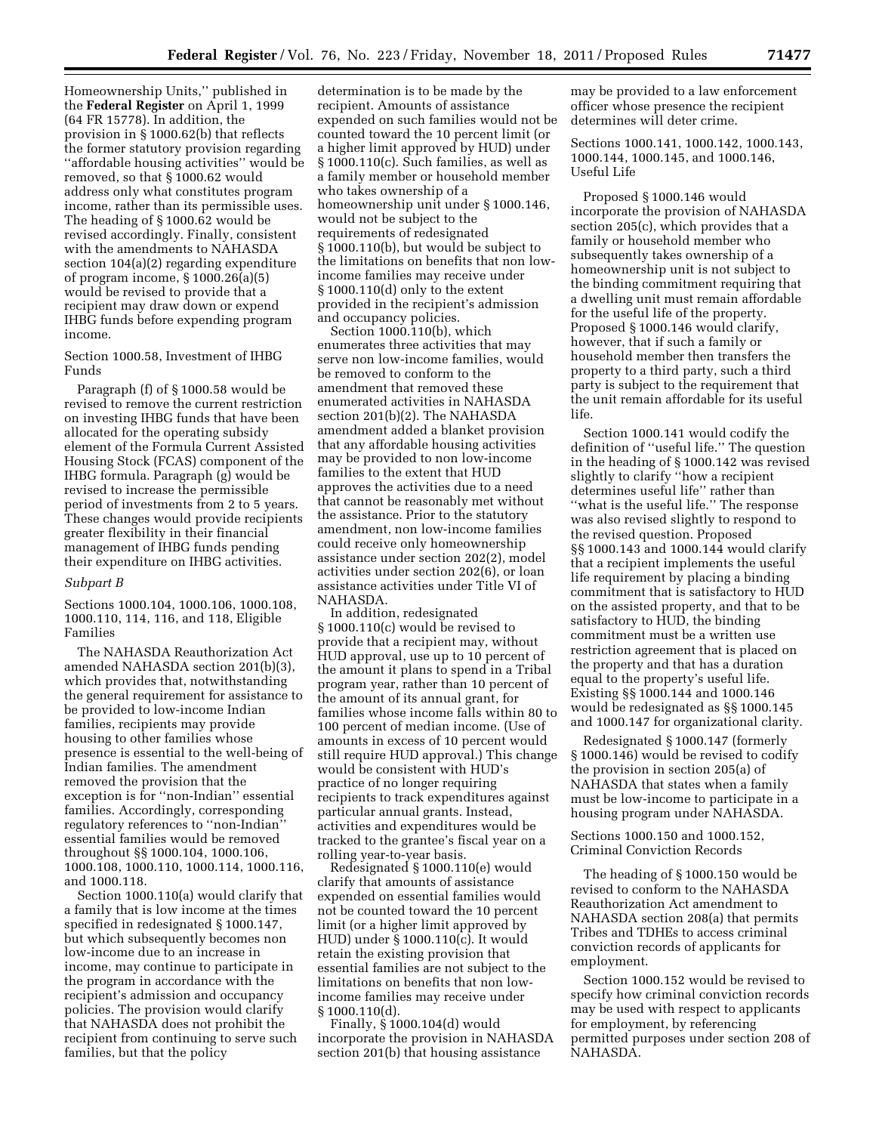Homeownership Units,'' published in the **Federal Register** on April 1, 1999 (64 FR 15778). In addition, the provision in § 1000.62(b) that reflects the former statutory provision regarding ''affordable housing activities'' would be removed, so that § 1000.62 would address only what constitutes program income, rather than its permissible uses. The heading of § 1000.62 would be revised accordingly. Finally, consistent with the amendments to NAHASDA section 104(a)(2) regarding expenditure of program income, § 1000.26(a)(5) would be revised to provide that a recipient may draw down or expend IHBG funds before expending program income.

Section 1000.58, Investment of IHBG Funds

Paragraph (f) of § 1000.58 would be revised to remove the current restriction on investing IHBG funds that have been allocated for the operating subsidy element of the Formula Current Assisted Housing Stock (FCAS) component of the IHBG formula. Paragraph (g) would be revised to increase the permissible period of investments from 2 to 5 years. These changes would provide recipients greater flexibility in their financial management of IHBG funds pending their expenditure on IHBG activities.

#### *Subpart B*

Sections 1000.104, 1000.106, 1000.108, 1000.110, 114, 116, and 118, Eligible Families

The NAHASDA Reauthorization Act amended NAHASDA section 201(b)(3), which provides that, notwithstanding the general requirement for assistance to be provided to low-income Indian families, recipients may provide housing to other families whose presence is essential to the well-being of Indian families. The amendment removed the provision that the exception is for ''non-Indian'' essential families. Accordingly, corresponding regulatory references to ''non-Indian'' essential families would be removed throughout §§ 1000.104, 1000.106, 1000.108, 1000.110, 1000.114, 1000.116, and 1000.118.

Section 1000.110(a) would clarify that a family that is low income at the times specified in redesignated § 1000.147, but which subsequently becomes non low-income due to an increase in income, may continue to participate in the program in accordance with the recipient's admission and occupancy policies. The provision would clarify that NAHASDA does not prohibit the recipient from continuing to serve such families, but that the policy

determination is to be made by the recipient. Amounts of assistance expended on such families would not be counted toward the 10 percent limit (or a higher limit approved by HUD) under § 1000.110(c). Such families, as well as a family member or household member who takes ownership of a homeownership unit under § 1000.146, would not be subject to the requirements of redesignated § 1000.110(b), but would be subject to the limitations on benefits that non lowincome families may receive under § 1000.110(d) only to the extent provided in the recipient's admission and occupancy policies.

Section 1000.110(b), which enumerates three activities that may serve non low-income families, would be removed to conform to the amendment that removed these enumerated activities in NAHASDA section 201(b)(2). The NAHASDA amendment added a blanket provision that any affordable housing activities may be provided to non low-income families to the extent that HUD approves the activities due to a need that cannot be reasonably met without the assistance. Prior to the statutory amendment, non low-income families could receive only homeownership assistance under section 202(2), model activities under section 202(6), or loan assistance activities under Title VI of NAHASDA.

In addition, redesignated § 1000.110(c) would be revised to provide that a recipient may, without HUD approval, use up to 10 percent of the amount it plans to spend in a Tribal program year, rather than 10 percent of the amount of its annual grant, for families whose income falls within 80 to 100 percent of median income. (Use of amounts in excess of 10 percent would still require HUD approval.) This change would be consistent with HUD's practice of no longer requiring recipients to track expenditures against particular annual grants. Instead, activities and expenditures would be tracked to the grantee's fiscal year on a rolling year-to-year basis.

Redesignated § 1000.110(e) would clarify that amounts of assistance expended on essential families would not be counted toward the 10 percent limit (or a higher limit approved by HUD) under § 1000.110(c). It would retain the existing provision that essential families are not subject to the limitations on benefits that non lowincome families may receive under  $§ 1000.110(d).$ 

Finally, § 1000.104(d) would incorporate the provision in NAHASDA section 201(b) that housing assistance

may be provided to a law enforcement officer whose presence the recipient determines will deter crime.

Sections 1000.141, 1000.142, 1000.143, 1000.144, 1000.145, and 1000.146, Useful Life

Proposed § 1000.146 would incorporate the provision of NAHASDA section 205(c), which provides that a family or household member who subsequently takes ownership of a homeownership unit is not subject to the binding commitment requiring that a dwelling unit must remain affordable for the useful life of the property. Proposed § 1000.146 would clarify, however, that if such a family or household member then transfers the property to a third party, such a third party is subject to the requirement that the unit remain affordable for its useful life.

Section 1000.141 would codify the definition of ''useful life.'' The question in the heading of § 1000.142 was revised slightly to clarify ''how a recipient determines useful life'' rather than ''what is the useful life.'' The response was also revised slightly to respond to the revised question. Proposed §§ 1000.143 and 1000.144 would clarify that a recipient implements the useful life requirement by placing a binding commitment that is satisfactory to HUD on the assisted property, and that to be satisfactory to HUD, the binding commitment must be a written use restriction agreement that is placed on the property and that has a duration equal to the property's useful life. Existing §§ 1000.144 and 1000.146 would be redesignated as §§ 1000.145 and 1000.147 for organizational clarity.

Redesignated § 1000.147 (formerly § 1000.146) would be revised to codify the provision in section 205(a) of NAHASDA that states when a family must be low-income to participate in a housing program under NAHASDA.

Sections 1000.150 and 1000.152, Criminal Conviction Records

The heading of § 1000.150 would be revised to conform to the NAHASDA Reauthorization Act amendment to NAHASDA section 208(a) that permits Tribes and TDHEs to access criminal conviction records of applicants for employment.

Section 1000.152 would be revised to specify how criminal conviction records may be used with respect to applicants for employment, by referencing permitted purposes under section 208 of NAHASDA.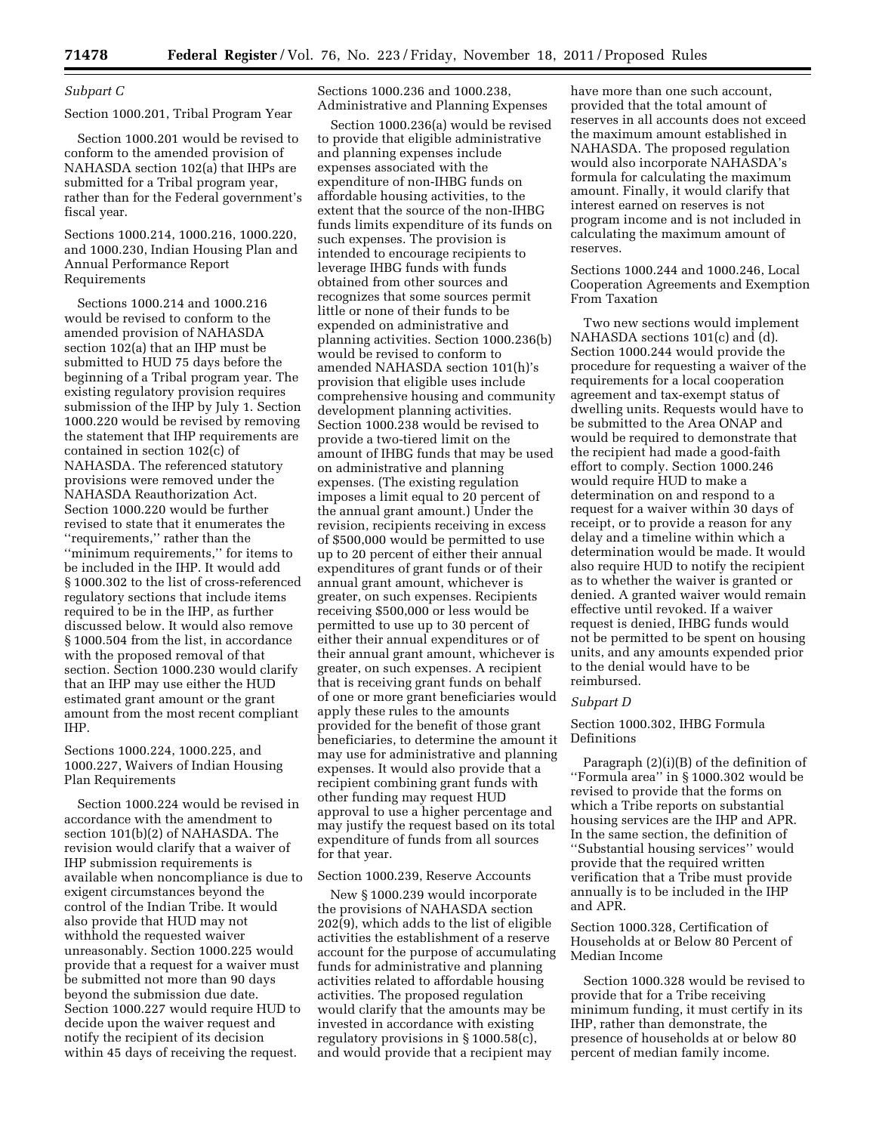# *Subpart C*

### Section 1000.201, Tribal Program Year

Section 1000.201 would be revised to conform to the amended provision of NAHASDA section 102(a) that IHPs are submitted for a Tribal program year, rather than for the Federal government's fiscal year.

Sections 1000.214, 1000.216, 1000.220, and 1000.230, Indian Housing Plan and Annual Performance Report Requirements

Sections 1000.214 and 1000.216 would be revised to conform to the amended provision of NAHASDA section 102(a) that an IHP must be submitted to HUD 75 days before the beginning of a Tribal program year. The existing regulatory provision requires submission of the IHP by July 1. Section 1000.220 would be revised by removing the statement that IHP requirements are contained in section 102(c) of NAHASDA. The referenced statutory provisions were removed under the NAHASDA Reauthorization Act. Section 1000.220 would be further revised to state that it enumerates the ''requirements,'' rather than the ''minimum requirements,'' for items to be included in the IHP. It would add § 1000.302 to the list of cross-referenced regulatory sections that include items required to be in the IHP, as further discussed below. It would also remove § 1000.504 from the list, in accordance with the proposed removal of that section. Section 1000.230 would clarify that an IHP may use either the HUD estimated grant amount or the grant amount from the most recent compliant IHP.

# Sections 1000.224, 1000.225, and 1000.227, Waivers of Indian Housing Plan Requirements

Section 1000.224 would be revised in accordance with the amendment to section 101(b)(2) of NAHASDA. The revision would clarify that a waiver of IHP submission requirements is available when noncompliance is due to exigent circumstances beyond the control of the Indian Tribe. It would also provide that HUD may not withhold the requested waiver unreasonably. Section 1000.225 would provide that a request for a waiver must be submitted not more than 90 days beyond the submission due date. Section 1000.227 would require HUD to decide upon the waiver request and notify the recipient of its decision within 45 days of receiving the request.

Sections 1000.236 and 1000.238, Administrative and Planning Expenses

Section 1000.236(a) would be revised to provide that eligible administrative and planning expenses include expenses associated with the expenditure of non-IHBG funds on affordable housing activities, to the extent that the source of the non-IHBG funds limits expenditure of its funds on such expenses. The provision is intended to encourage recipients to leverage IHBG funds with funds obtained from other sources and recognizes that some sources permit little or none of their funds to be expended on administrative and planning activities. Section 1000.236(b) would be revised to conform to amended NAHASDA section 101(h)'s provision that eligible uses include comprehensive housing and community development planning activities. Section 1000.238 would be revised to provide a two-tiered limit on the amount of IHBG funds that may be used on administrative and planning expenses. (The existing regulation imposes a limit equal to 20 percent of the annual grant amount.) Under the revision, recipients receiving in excess of \$500,000 would be permitted to use up to 20 percent of either their annual expenditures of grant funds or of their annual grant amount, whichever is greater, on such expenses. Recipients receiving \$500,000 or less would be permitted to use up to 30 percent of either their annual expenditures or of their annual grant amount, whichever is greater, on such expenses. A recipient that is receiving grant funds on behalf of one or more grant beneficiaries would apply these rules to the amounts provided for the benefit of those grant beneficiaries, to determine the amount it may use for administrative and planning expenses. It would also provide that a recipient combining grant funds with other funding may request HUD approval to use a higher percentage and may justify the request based on its total expenditure of funds from all sources for that year.

### Section 1000.239, Reserve Accounts

New § 1000.239 would incorporate the provisions of NAHASDA section 202(9), which adds to the list of eligible activities the establishment of a reserve account for the purpose of accumulating funds for administrative and planning activities related to affordable housing activities. The proposed regulation would clarify that the amounts may be invested in accordance with existing regulatory provisions in § 1000.58(c), and would provide that a recipient may

have more than one such account, provided that the total amount of reserves in all accounts does not exceed the maximum amount established in NAHASDA. The proposed regulation would also incorporate NAHASDA's formula for calculating the maximum amount. Finally, it would clarify that interest earned on reserves is not program income and is not included in calculating the maximum amount of reserves.

Sections 1000.244 and 1000.246, Local Cooperation Agreements and Exemption From Taxation

Two new sections would implement NAHASDA sections 101(c) and (d). Section 1000.244 would provide the procedure for requesting a waiver of the requirements for a local cooperation agreement and tax-exempt status of dwelling units. Requests would have to be submitted to the Area ONAP and would be required to demonstrate that the recipient had made a good-faith effort to comply. Section 1000.246 would require HUD to make a determination on and respond to a request for a waiver within 30 days of receipt, or to provide a reason for any delay and a timeline within which a determination would be made. It would also require HUD to notify the recipient as to whether the waiver is granted or denied. A granted waiver would remain effective until revoked. If a waiver request is denied, IHBG funds would not be permitted to be spent on housing units, and any amounts expended prior to the denial would have to be reimbursed.

#### *Subpart D*

# Section 1000.302, IHBG Formula Definitions

Paragraph (2)(i)(B) of the definition of ''Formula area'' in § 1000.302 would be revised to provide that the forms on which a Tribe reports on substantial housing services are the IHP and APR. In the same section, the definition of ''Substantial housing services'' would provide that the required written verification that a Tribe must provide annually is to be included in the IHP and APR.

Section 1000.328, Certification of Households at or Below 80 Percent of Median Income

Section 1000.328 would be revised to provide that for a Tribe receiving minimum funding, it must certify in its IHP, rather than demonstrate, the presence of households at or below 80 percent of median family income.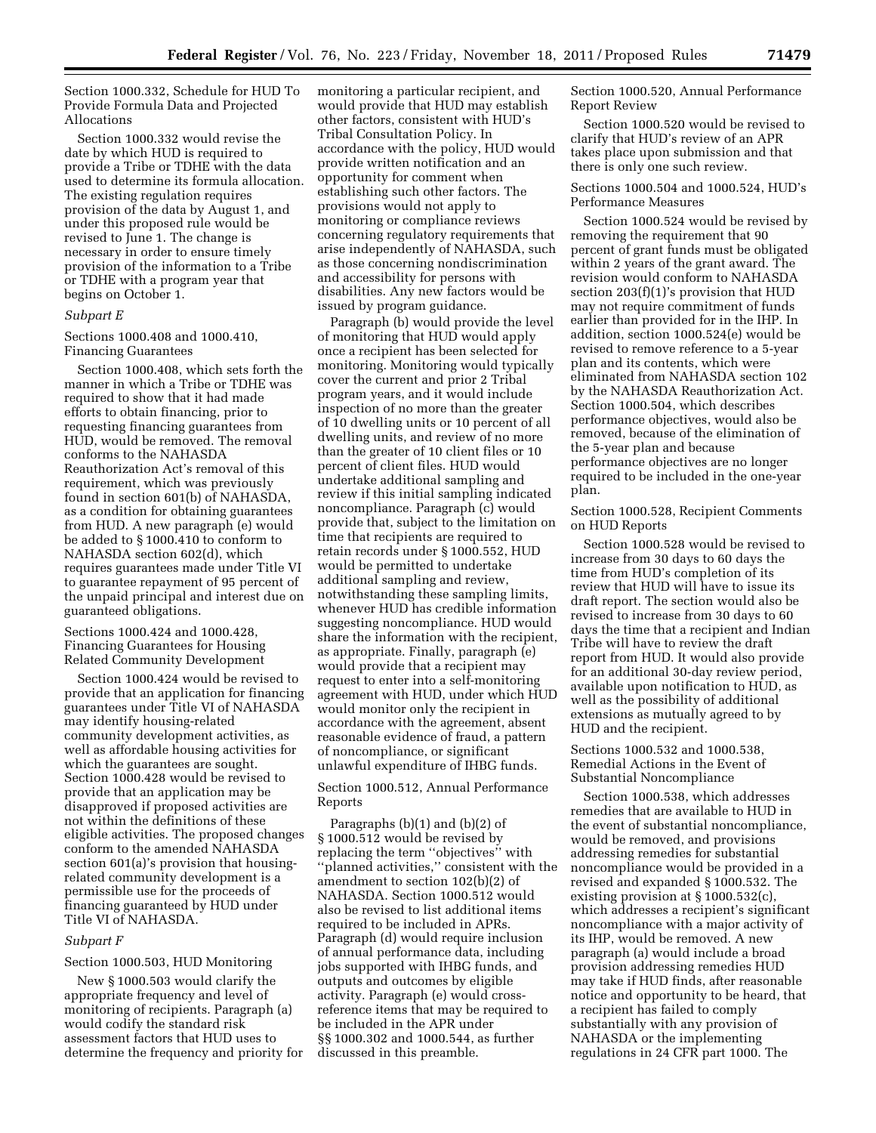Section 1000.332, Schedule for HUD To Provide Formula Data and Projected Allocations

Section 1000.332 would revise the date by which HUD is required to provide a Tribe or TDHE with the data used to determine its formula allocation. The existing regulation requires provision of the data by August 1, and under this proposed rule would be revised to June 1. The change is necessary in order to ensure timely provision of the information to a Tribe or TDHE with a program year that begins on October 1.

#### *Subpart E*

Sections 1000.408 and 1000.410, Financing Guarantees

Section 1000.408, which sets forth the manner in which a Tribe or TDHE was required to show that it had made efforts to obtain financing, prior to requesting financing guarantees from HUD, would be removed. The removal conforms to the NAHASDA Reauthorization Act's removal of this requirement, which was previously found in section 601(b) of NAHASDA, as a condition for obtaining guarantees from HUD. A new paragraph (e) would be added to § 1000.410 to conform to NAHASDA section 602(d), which requires guarantees made under Title VI to guarantee repayment of 95 percent of the unpaid principal and interest due on guaranteed obligations.

Sections 1000.424 and 1000.428, Financing Guarantees for Housing Related Community Development

Section 1000.424 would be revised to provide that an application for financing guarantees under Title VI of NAHASDA may identify housing-related community development activities, as well as affordable housing activities for which the guarantees are sought. Section 1000.428 would be revised to provide that an application may be disapproved if proposed activities are not within the definitions of these eligible activities. The proposed changes conform to the amended NAHASDA section 601(a)'s provision that housingrelated community development is a permissible use for the proceeds of financing guaranteed by HUD under Title VI of NAHASDA.

## *Subpart F*

#### Section 1000.503, HUD Monitoring

New § 1000.503 would clarify the appropriate frequency and level of monitoring of recipients. Paragraph (a) would codify the standard risk assessment factors that HUD uses to determine the frequency and priority for monitoring a particular recipient, and would provide that HUD may establish other factors, consistent with HUD's Tribal Consultation Policy. In accordance with the policy, HUD would provide written notification and an opportunity for comment when establishing such other factors. The provisions would not apply to monitoring or compliance reviews concerning regulatory requirements that arise independently of NAHASDA, such as those concerning nondiscrimination and accessibility for persons with disabilities. Any new factors would be issued by program guidance.

Paragraph (b) would provide the level of monitoring that HUD would apply once a recipient has been selected for monitoring. Monitoring would typically cover the current and prior 2 Tribal program years, and it would include inspection of no more than the greater of 10 dwelling units or 10 percent of all dwelling units, and review of no more than the greater of 10 client files or 10 percent of client files. HUD would undertake additional sampling and review if this initial sampling indicated noncompliance. Paragraph (c) would provide that, subject to the limitation on time that recipients are required to retain records under § 1000.552, HUD would be permitted to undertake additional sampling and review, notwithstanding these sampling limits, whenever HUD has credible information suggesting noncompliance. HUD would share the information with the recipient, as appropriate. Finally, paragraph (e) would provide that a recipient may request to enter into a self-monitoring agreement with HUD, under which HUD would monitor only the recipient in accordance with the agreement, absent reasonable evidence of fraud, a pattern of noncompliance, or significant unlawful expenditure of IHBG funds.

Section 1000.512, Annual Performance Reports

Paragraphs (b)(1) and (b)(2) of § 1000.512 would be revised by replacing the term ''objectives'' with ''planned activities,'' consistent with the amendment to section 102(b)(2) of NAHASDA. Section 1000.512 would also be revised to list additional items required to be included in APRs. Paragraph (d) would require inclusion of annual performance data, including jobs supported with IHBG funds, and outputs and outcomes by eligible activity. Paragraph (e) would crossreference items that may be required to be included in the APR under §§ 1000.302 and 1000.544, as further discussed in this preamble.

Section 1000.520, Annual Performance Report Review

Section 1000.520 would be revised to clarify that HUD's review of an APR takes place upon submission and that there is only one such review.

# Sections 1000.504 and 1000.524, HUD's Performance Measures

Section 1000.524 would be revised by removing the requirement that 90 percent of grant funds must be obligated within 2 years of the grant award. The revision would conform to NAHASDA section 203(f)(1)'s provision that HUD may not require commitment of funds earlier than provided for in the IHP. In addition, section 1000.524(e) would be revised to remove reference to a 5-year plan and its contents, which were eliminated from NAHASDA section 102 by the NAHASDA Reauthorization Act. Section 1000.504, which describes performance objectives, would also be removed, because of the elimination of the 5-year plan and because performance objectives are no longer required to be included in the one-year plan.

Section 1000.528, Recipient Comments on HUD Reports

Section 1000.528 would be revised to increase from 30 days to 60 days the time from HUD's completion of its review that HUD will have to issue its draft report. The section would also be revised to increase from 30 days to 60 days the time that a recipient and Indian Tribe will have to review the draft report from HUD. It would also provide for an additional 30-day review period, available upon notification to HUD, as well as the possibility of additional extensions as mutually agreed to by HUD and the recipient.

Sections 1000.532 and 1000.538, Remedial Actions in the Event of Substantial Noncompliance

Section 1000.538, which addresses remedies that are available to HUD in the event of substantial noncompliance, would be removed, and provisions addressing remedies for substantial noncompliance would be provided in a revised and expanded § 1000.532. The existing provision at § 1000.532(c), which addresses a recipient's significant noncompliance with a major activity of its IHP, would be removed. A new paragraph (a) would include a broad provision addressing remedies HUD may take if HUD finds, after reasonable notice and opportunity to be heard, that a recipient has failed to comply substantially with any provision of NAHASDA or the implementing regulations in 24 CFR part 1000. The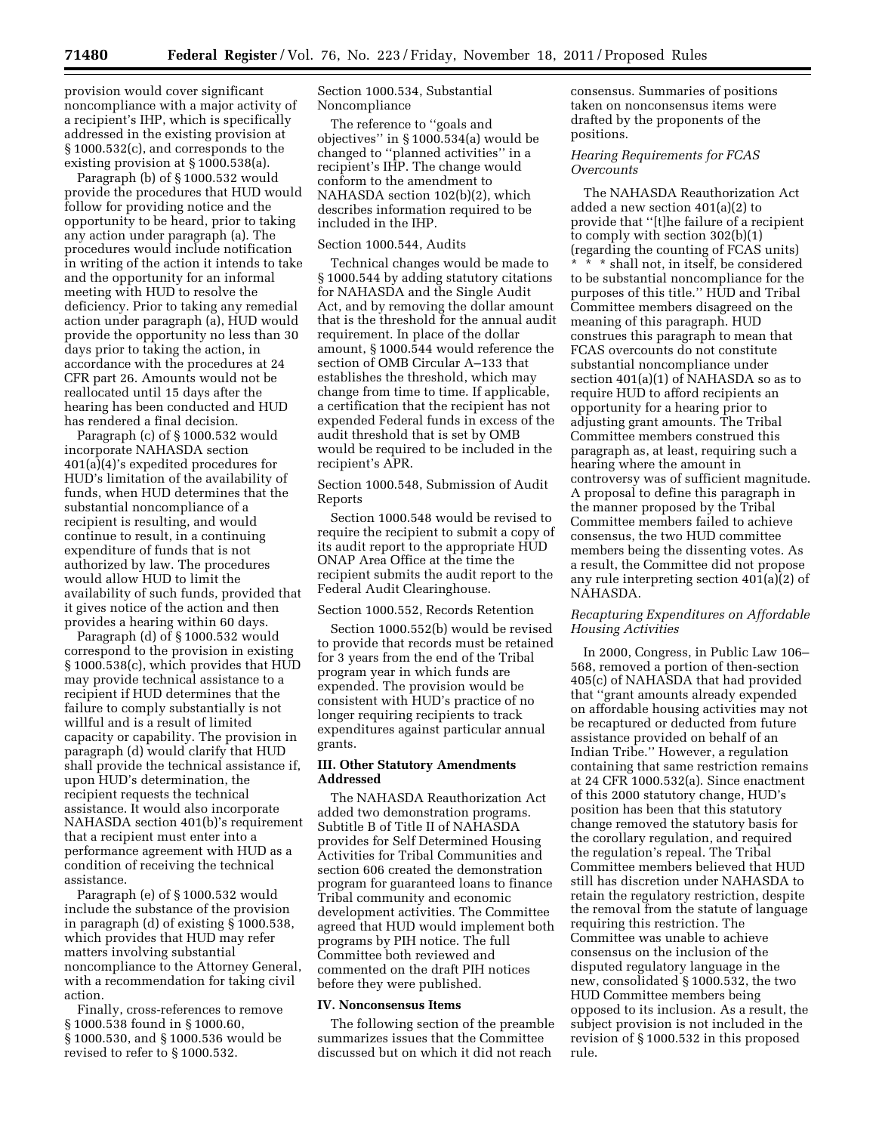provision would cover significant noncompliance with a major activity of a recipient's IHP, which is specifically addressed in the existing provision at § 1000.532(c), and corresponds to the existing provision at § 1000.538(a).

Paragraph (b) of § 1000.532 would provide the procedures that HUD would follow for providing notice and the opportunity to be heard, prior to taking any action under paragraph (a). The procedures would include notification in writing of the action it intends to take and the opportunity for an informal meeting with HUD to resolve the deficiency. Prior to taking any remedial action under paragraph (a), HUD would provide the opportunity no less than 30 days prior to taking the action, in accordance with the procedures at 24 CFR part 26. Amounts would not be reallocated until 15 days after the hearing has been conducted and HUD has rendered a final decision.

Paragraph (c) of § 1000.532 would incorporate NAHASDA section 401(a)(4)'s expedited procedures for HUD's limitation of the availability of funds, when HUD determines that the substantial noncompliance of a recipient is resulting, and would continue to result, in a continuing expenditure of funds that is not authorized by law. The procedures would allow HUD to limit the availability of such funds, provided that it gives notice of the action and then provides a hearing within 60 days.

Paragraph (d) of § 1000.532 would correspond to the provision in existing § 1000.538(c), which provides that HUD may provide technical assistance to a recipient if HUD determines that the failure to comply substantially is not willful and is a result of limited capacity or capability. The provision in paragraph (d) would clarify that HUD shall provide the technical assistance if, upon HUD's determination, the recipient requests the technical assistance. It would also incorporate NAHASDA section 401(b)'s requirement that a recipient must enter into a performance agreement with HUD as a condition of receiving the technical assistance.

Paragraph (e) of § 1000.532 would include the substance of the provision in paragraph (d) of existing § 1000.538, which provides that HUD may refer matters involving substantial noncompliance to the Attorney General, with a recommendation for taking civil action.

Finally, cross-references to remove § 1000.538 found in § 1000.60, § 1000.530, and § 1000.536 would be revised to refer to § 1000.532.

Section 1000.534, Substantial Noncompliance

The reference to ''goals and objectives'' in § 1000.534(a) would be changed to ''planned activities'' in a recipient's IHP. The change would conform to the amendment to NAHASDA section 102(b)(2), which describes information required to be included in the IHP.

### Section 1000.544, Audits

Technical changes would be made to § 1000.544 by adding statutory citations for NAHASDA and the Single Audit Act, and by removing the dollar amount that is the threshold for the annual audit requirement. In place of the dollar amount, § 1000.544 would reference the section of OMB Circular A–133 that establishes the threshold, which may change from time to time. If applicable, a certification that the recipient has not expended Federal funds in excess of the audit threshold that is set by OMB would be required to be included in the recipient's APR.

Section 1000.548, Submission of Audit Reports

Section 1000.548 would be revised to require the recipient to submit a copy of its audit report to the appropriate HUD ONAP Area Office at the time the recipient submits the audit report to the Federal Audit Clearinghouse.

#### Section 1000.552, Records Retention

Section 1000.552(b) would be revised to provide that records must be retained for 3 years from the end of the Tribal program year in which funds are expended. The provision would be consistent with HUD's practice of no longer requiring recipients to track expenditures against particular annual grants.

### **III. Other Statutory Amendments Addressed**

The NAHASDA Reauthorization Act added two demonstration programs. Subtitle B of Title II of NAHASDA provides for Self Determined Housing Activities for Tribal Communities and section 606 created the demonstration program for guaranteed loans to finance Tribal community and economic development activities. The Committee agreed that HUD would implement both programs by PIH notice. The full Committee both reviewed and commented on the draft PIH notices before they were published.

### **IV. Nonconsensus Items**

The following section of the preamble summarizes issues that the Committee discussed but on which it did not reach

consensus. Summaries of positions taken on nonconsensus items were drafted by the proponents of the positions.

# *Hearing Requirements for FCAS Overcounts*

The NAHASDA Reauthorization Act added a new section 401(a)(2) to provide that ''[t]he failure of a recipient to comply with section 302(b)(1) (regarding the counting of FCAS units) \* \* \* shall not, in itself, be considered to be substantial noncompliance for the purposes of this title.'' HUD and Tribal Committee members disagreed on the meaning of this paragraph. HUD construes this paragraph to mean that FCAS overcounts do not constitute substantial noncompliance under section 401(a)(1) of NAHASDA so as to require HUD to afford recipients an opportunity for a hearing prior to adjusting grant amounts. The Tribal Committee members construed this paragraph as, at least, requiring such a hearing where the amount in controversy was of sufficient magnitude. A proposal to define this paragraph in the manner proposed by the Tribal Committee members failed to achieve consensus, the two HUD committee members being the dissenting votes. As a result, the Committee did not propose any rule interpreting section 401(a)(2) of NAHASDA.

# *Recapturing Expenditures on Affordable Housing Activities*

In 2000, Congress, in Public Law 106– 568, removed a portion of then-section 405(c) of NAHASDA that had provided that ''grant amounts already expended on affordable housing activities may not be recaptured or deducted from future assistance provided on behalf of an Indian Tribe.'' However, a regulation containing that same restriction remains at 24 CFR 1000.532(a). Since enactment of this 2000 statutory change, HUD's position has been that this statutory change removed the statutory basis for the corollary regulation, and required the regulation's repeal. The Tribal Committee members believed that HUD still has discretion under NAHASDA to retain the regulatory restriction, despite the removal from the statute of language requiring this restriction. The Committee was unable to achieve consensus on the inclusion of the disputed regulatory language in the new, consolidated § 1000.532, the two HUD Committee members being opposed to its inclusion. As a result, the subject provision is not included in the revision of § 1000.532 in this proposed rule.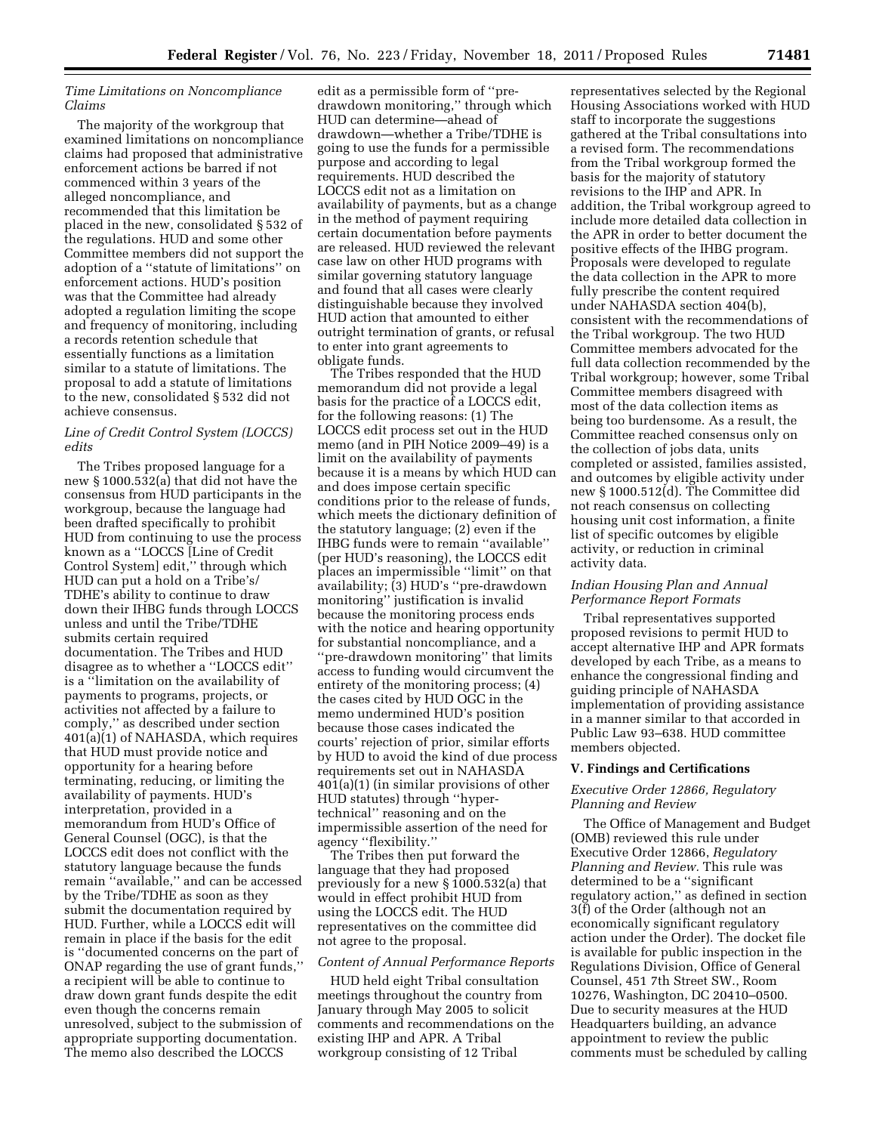# *Time Limitations on Noncompliance Claims*

The majority of the workgroup that examined limitations on noncompliance claims had proposed that administrative enforcement actions be barred if not commenced within 3 years of the alleged noncompliance, and recommended that this limitation be placed in the new, consolidated § 532 of the regulations. HUD and some other Committee members did not support the adoption of a ''statute of limitations'' on enforcement actions. HUD's position was that the Committee had already adopted a regulation limiting the scope and frequency of monitoring, including a records retention schedule that essentially functions as a limitation similar to a statute of limitations. The proposal to add a statute of limitations to the new, consolidated § 532 did not achieve consensus.

# *Line of Credit Control System (LOCCS) edits*

The Tribes proposed language for a new § 1000.532(a) that did not have the consensus from HUD participants in the workgroup, because the language had been drafted specifically to prohibit HUD from continuing to use the process known as a ''LOCCS [Line of Credit Control System] edit,'' through which HUD can put a hold on a Tribe's/ TDHE's ability to continue to draw down their IHBG funds through LOCCS unless and until the Tribe/TDHE submits certain required documentation. The Tribes and HUD disagree as to whether a ''LOCCS edit'' is a ''limitation on the availability of payments to programs, projects, or activities not affected by a failure to comply,'' as described under section  $401(a)(1)$  of NAHASDA, which requires that HUD must provide notice and opportunity for a hearing before terminating, reducing, or limiting the availability of payments. HUD's interpretation, provided in a memorandum from HUD's Office of General Counsel (OGC), is that the LOCCS edit does not conflict with the statutory language because the funds remain ''available,'' and can be accessed by the Tribe/TDHE as soon as they submit the documentation required by HUD. Further, while a LOCCS edit will remain in place if the basis for the edit is ''documented concerns on the part of ONAP regarding the use of grant funds,'' a recipient will be able to continue to draw down grant funds despite the edit even though the concerns remain unresolved, subject to the submission of appropriate supporting documentation. The memo also described the LOCCS

edit as a permissible form of ''predrawdown monitoring,'' through which HUD can determine—ahead of drawdown—whether a Tribe/TDHE is going to use the funds for a permissible purpose and according to legal requirements. HUD described the LOCCS edit not as a limitation on availability of payments, but as a change in the method of payment requiring certain documentation before payments are released. HUD reviewed the relevant case law on other HUD programs with similar governing statutory language and found that all cases were clearly distinguishable because they involved HUD action that amounted to either outright termination of grants, or refusal to enter into grant agreements to obligate funds.

The Tribes responded that the HUD memorandum did not provide a legal basis for the practice of a LOCCS edit, for the following reasons: (1) The LOCCS edit process set out in the HUD memo (and in PIH Notice 2009–49) is a limit on the availability of payments because it is a means by which HUD can and does impose certain specific conditions prior to the release of funds, which meets the dictionary definition of the statutory language; (2) even if the IHBG funds were to remain ''available'' (per HUD's reasoning), the LOCCS edit places an impermissible ''limit'' on that availability; (3) HUD's ''pre-drawdown monitoring'' justification is invalid because the monitoring process ends with the notice and hearing opportunity for substantial noncompliance, and a ''pre-drawdown monitoring'' that limits access to funding would circumvent the entirety of the monitoring process; (4) the cases cited by HUD OGC in the memo undermined HUD's position because those cases indicated the courts' rejection of prior, similar efforts by HUD to avoid the kind of due process requirements set out in NAHASDA 401(a)(1) (in similar provisions of other HUD statutes) through ''hypertechnical'' reasoning and on the impermissible assertion of the need for agency ''flexibility.''

The Tribes then put forward the language that they had proposed previously for a new § 1000.532(a) that would in effect prohibit HUD from using the LOCCS edit. The HUD representatives on the committee did not agree to the proposal.

#### *Content of Annual Performance Reports*

HUD held eight Tribal consultation meetings throughout the country from January through May 2005 to solicit comments and recommendations on the existing IHP and APR. A Tribal workgroup consisting of 12 Tribal

representatives selected by the Regional Housing Associations worked with HUD staff to incorporate the suggestions gathered at the Tribal consultations into a revised form. The recommendations from the Tribal workgroup formed the basis for the majority of statutory revisions to the IHP and APR. In addition, the Tribal workgroup agreed to include more detailed data collection in the APR in order to better document the positive effects of the IHBG program. Proposals were developed to regulate the data collection in the APR to more fully prescribe the content required under NAHASDA section 404(b), consistent with the recommendations of the Tribal workgroup. The two HUD Committee members advocated for the full data collection recommended by the Tribal workgroup; however, some Tribal Committee members disagreed with most of the data collection items as being too burdensome. As a result, the Committee reached consensus only on the collection of jobs data, units completed or assisted, families assisted, and outcomes by eligible activity under new § 1000.512(d). The Committee did not reach consensus on collecting housing unit cost information, a finite list of specific outcomes by eligible activity, or reduction in criminal activity data.

## *Indian Housing Plan and Annual Performance Report Formats*

Tribal representatives supported proposed revisions to permit HUD to accept alternative IHP and APR formats developed by each Tribe, as a means to enhance the congressional finding and guiding principle of NAHASDA implementation of providing assistance in a manner similar to that accorded in Public Law 93–638. HUD committee members objected.

# **V. Findings and Certifications**

### *Executive Order 12866, Regulatory Planning and Review*

The Office of Management and Budget (OMB) reviewed this rule under Executive Order 12866, *Regulatory Planning and Review.* This rule was determined to be a ''significant regulatory action,'' as defined in section 3(f) of the Order (although not an economically significant regulatory action under the Order). The docket file is available for public inspection in the Regulations Division, Office of General Counsel, 451 7th Street SW., Room 10276, Washington, DC 20410–0500. Due to security measures at the HUD Headquarters building, an advance appointment to review the public comments must be scheduled by calling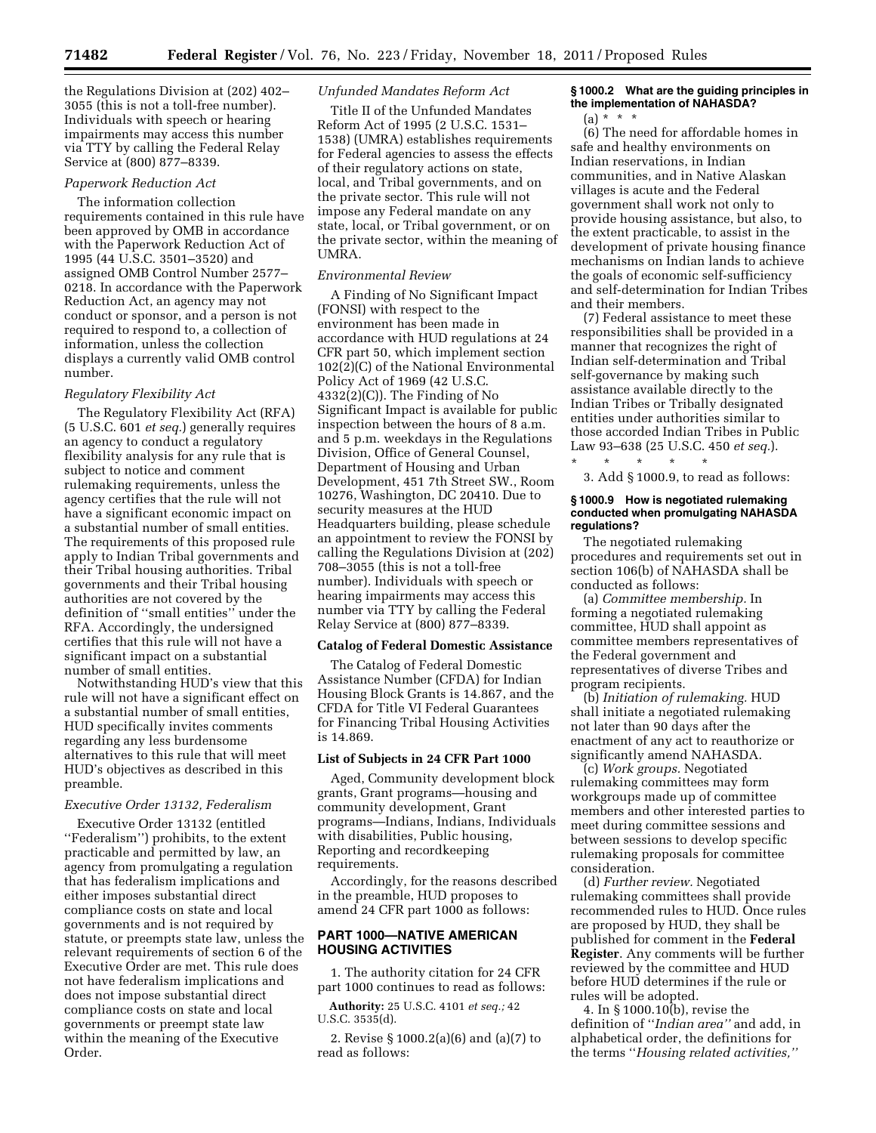the Regulations Division at (202) 402– 3055 (this is not a toll-free number). Individuals with speech or hearing impairments may access this number via TTY by calling the Federal Relay Service at (800) 877–8339.

#### *Paperwork Reduction Act*

The information collection requirements contained in this rule have been approved by OMB in accordance with the Paperwork Reduction Act of 1995 (44 U.S.C. 3501–3520) and assigned OMB Control Number 2577– 0218. In accordance with the Paperwork Reduction Act, an agency may not conduct or sponsor, and a person is not required to respond to, a collection of information, unless the collection displays a currently valid OMB control number.

#### *Regulatory Flexibility Act*

The Regulatory Flexibility Act (RFA) (5 U.S.C. 601 *et seq.*) generally requires an agency to conduct a regulatory flexibility analysis for any rule that is subject to notice and comment rulemaking requirements, unless the agency certifies that the rule will not have a significant economic impact on a substantial number of small entities. The requirements of this proposed rule apply to Indian Tribal governments and their Tribal housing authorities. Tribal governments and their Tribal housing authorities are not covered by the definition of ''small entities'' under the RFA. Accordingly, the undersigned certifies that this rule will not have a significant impact on a substantial number of small entities.

Notwithstanding HUD's view that this rule will not have a significant effect on a substantial number of small entities, HUD specifically invites comments regarding any less burdensome alternatives to this rule that will meet HUD's objectives as described in this preamble.

#### *Executive Order 13132, Federalism*

Executive Order 13132 (entitled ''Federalism'') prohibits, to the extent practicable and permitted by law, an agency from promulgating a regulation that has federalism implications and either imposes substantial direct compliance costs on state and local governments and is not required by statute, or preempts state law, unless the relevant requirements of section 6 of the Executive Order are met. This rule does not have federalism implications and does not impose substantial direct compliance costs on state and local governments or preempt state law within the meaning of the Executive Order.

#### *Unfunded Mandates Reform Act*

Title II of the Unfunded Mandates Reform Act of 1995 (2 U.S.C. 1531– 1538) (UMRA) establishes requirements for Federal agencies to assess the effects of their regulatory actions on state, local, and Tribal governments, and on the private sector. This rule will not impose any Federal mandate on any state, local, or Tribal government, or on the private sector, within the meaning of UMRA.

### *Environmental Review*

A Finding of No Significant Impact (FONSI) with respect to the environment has been made in accordance with HUD regulations at 24 CFR part 50, which implement section 102(2)(C) of the National Environmental Policy Act of 1969 (42 U.S.C.  $4332(2)(C)$ . The Finding of No Significant Impact is available for public inspection between the hours of 8 a.m. and 5 p.m. weekdays in the Regulations Division, Office of General Counsel, Department of Housing and Urban Development, 451 7th Street SW., Room 10276, Washington, DC 20410. Due to security measures at the HUD Headquarters building, please schedule an appointment to review the FONSI by calling the Regulations Division at (202) 708–3055 (this is not a toll-free number). Individuals with speech or hearing impairments may access this number via TTY by calling the Federal Relay Service at (800) 877–8339.

# **Catalog of Federal Domestic Assistance**

The Catalog of Federal Domestic Assistance Number (CFDA) for Indian Housing Block Grants is 14.867, and the CFDA for Title VI Federal Guarantees for Financing Tribal Housing Activities is 14.869.

### **List of Subjects in 24 CFR Part 1000**

Aged, Community development block grants, Grant programs—housing and community development, Grant programs—Indians, Indians, Individuals with disabilities, Public housing, Reporting and recordkeeping requirements.

Accordingly, for the reasons described in the preamble, HUD proposes to amend 24 CFR part 1000 as follows:

# **PART 1000—NATIVE AMERICAN HOUSING ACTIVITIES**

1. The authority citation for 24 CFR part 1000 continues to read as follows:

**Authority:** 25 U.S.C. 4101 *et seq.;* 42 U.S.C. 3535(d).

2. Revise § 1000.2(a)(6) and (a)(7) to read as follows:

# **§ 1000.2 What are the guiding principles in the implementation of NAHASDA?**

(a) \* \* \*

(6) The need for affordable homes in safe and healthy environments on Indian reservations, in Indian communities, and in Native Alaskan villages is acute and the Federal government shall work not only to provide housing assistance, but also, to the extent practicable, to assist in the development of private housing finance mechanisms on Indian lands to achieve the goals of economic self-sufficiency and self-determination for Indian Tribes and their members.

(7) Federal assistance to meet these responsibilities shall be provided in a manner that recognizes the right of Indian self-determination and Tribal self-governance by making such assistance available directly to the Indian Tribes or Tribally designated entities under authorities similar to those accorded Indian Tribes in Public Law 93–638 (25 U.S.C. 450 *et seq.*).

3. Add § 1000.9, to read as follows:

\* \* \* \* \*

#### **§ 1000.9 How is negotiated rulemaking conducted when promulgating NAHASDA regulations?**

The negotiated rulemaking procedures and requirements set out in section 106(b) of NAHASDA shall be conducted as follows:

(a) *Committee membership.* In forming a negotiated rulemaking committee, HUD shall appoint as committee members representatives of the Federal government and representatives of diverse Tribes and program recipients.

(b) *Initiation of rulemaking.* HUD shall initiate a negotiated rulemaking not later than 90 days after the enactment of any act to reauthorize or significantly amend NAHASDA.

(c) *Work groups.* Negotiated rulemaking committees may form workgroups made up of committee members and other interested parties to meet during committee sessions and between sessions to develop specific rulemaking proposals for committee consideration.

(d) *Further review.* Negotiated rulemaking committees shall provide recommended rules to HUD. Once rules are proposed by HUD, they shall be published for comment in the **Federal Register**. Any comments will be further reviewed by the committee and HUD before HUD determines if the rule or rules will be adopted.

4. In § 1000.10(b), revise the definition of ''*Indian area''* and add, in alphabetical order, the definitions for the terms ''*Housing related activities,''*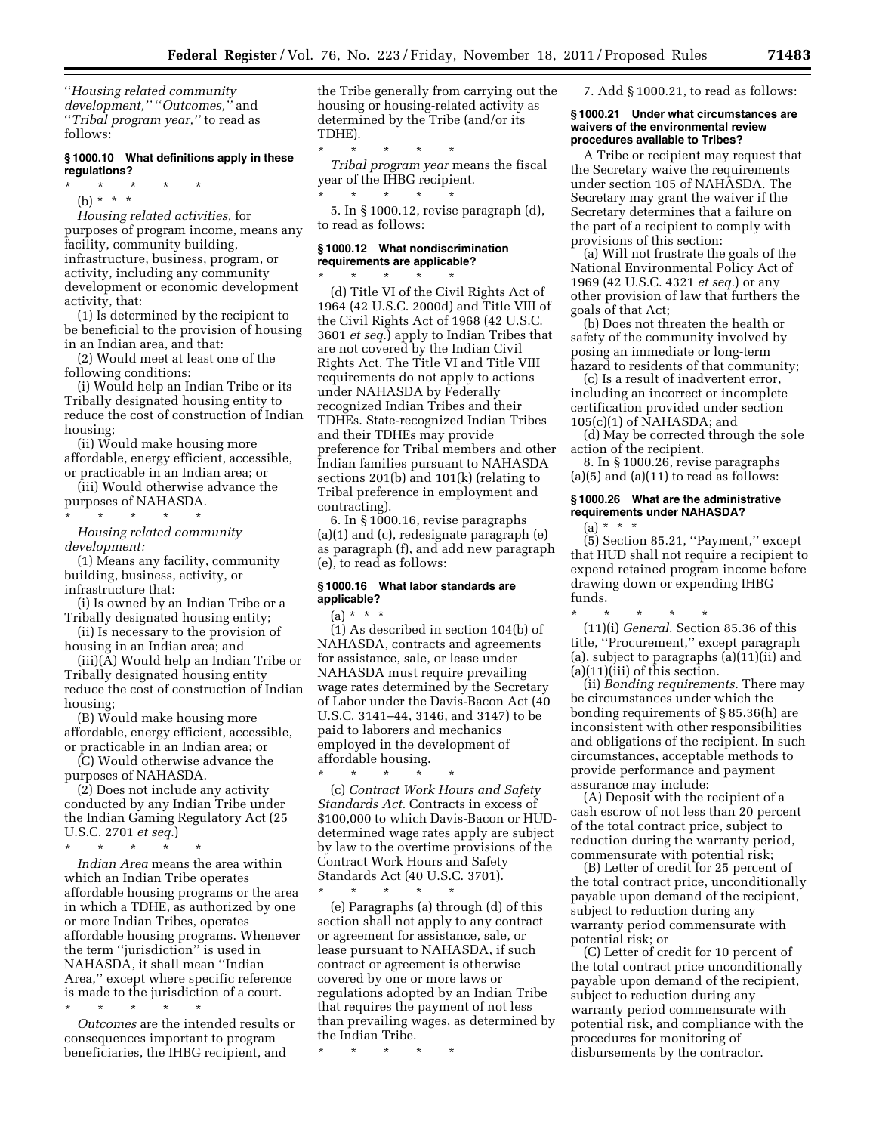''*Housing related community development,''* ''*Outcomes,''* and ''*Tribal program year,''* to read as follows:

# **§ 1000.10 What definitions apply in these regulations?**

\* \* \* \* \* (b) \* \* \*

*Housing related activities,* for purposes of program income, means any facility, community building, infrastructure, business, program, or activity, including any community development or economic development activity, that:

(1) Is determined by the recipient to be beneficial to the provision of housing in an Indian area, and that:

(2) Would meet at least one of the following conditions:

(i) Would help an Indian Tribe or its Tribally designated housing entity to reduce the cost of construction of Indian housing;

(ii) Would make housing more affordable, energy efficient, accessible, or practicable in an Indian area; or

(iii) Would otherwise advance the purposes of NAHASDA.

\* \* \* \* \*

*Housing related community development:* 

(1) Means any facility, community building, business, activity, or infrastructure that:

(i) Is owned by an Indian Tribe or a Tribally designated housing entity;

(ii) Is necessary to the provision of housing in an Indian area; and

(iii)(A) Would help an Indian Tribe or Tribally designated housing entity reduce the cost of construction of Indian housing;

(B) Would make housing more affordable, energy efficient, accessible, or practicable in an Indian area; or

(C) Would otherwise advance the purposes of NAHASDA.

(2) Does not include any activity conducted by any Indian Tribe under the Indian Gaming Regulatory Act (25 U.S.C. 2701 *et seq.*)

\* \* \* \* \* *Indian Area* means the area within which an Indian Tribe operates affordable housing programs or the area in which a TDHE, as authorized by one or more Indian Tribes, operates affordable housing programs. Whenever the term ''jurisdiction'' is used in NAHASDA, it shall mean ''Indian Area,'' except where specific reference is made to the jurisdiction of a court. \* \* \* \* \*

*Outcomes* are the intended results or consequences important to program beneficiaries, the IHBG recipient, and

the Tribe generally from carrying out the housing or housing-related activity as determined by the Tribe (and/or its TDHE).

\* \* \* \* \* *Tribal program year* means the fiscal year of the IHBG recipient. \* \* \* \* \*

5. In § 1000.12, revise paragraph (d), to read as follows:

### **§ 1000.12 What nondiscrimination requirements are applicable?**

\* \* \* \* \*

(d) Title VI of the Civil Rights Act of 1964 (42 U.S.C. 2000d) and Title VIII of the Civil Rights Act of 1968 (42 U.S.C. 3601 *et seq.*) apply to Indian Tribes that are not covered by the Indian Civil Rights Act. The Title VI and Title VIII requirements do not apply to actions under NAHASDA by Federally recognized Indian Tribes and their TDHEs. State-recognized Indian Tribes and their TDHEs may provide preference for Tribal members and other Indian families pursuant to NAHASDA sections 201(b) and 101(k) (relating to Tribal preference in employment and contracting).

6. In § 1000.16, revise paragraphs (a)(1) and (c), redesignate paragraph (e) as paragraph (f), and add new paragraph (e), to read as follows:

### **§ 1000.16 What labor standards are applicable?**

 $(a) * * * *$ 

(1) As described in section 104(b) of NAHASDA, contracts and agreements for assistance, sale, or lease under NAHASDA must require prevailing wage rates determined by the Secretary of Labor under the Davis-Bacon Act (40 U.S.C. 3141–44, 3146, and 3147) to be paid to laborers and mechanics employed in the development of affordable housing.

\* \* \* \* \* (c) *Contract Work Hours and Safety Standards Act.* Contracts in excess of \$100,000 to which Davis-Bacon or HUDdetermined wage rates apply are subject by law to the overtime provisions of the Contract Work Hours and Safety Standards Act (40 U.S.C. 3701).

\* \* \* \* \* (e) Paragraphs (a) through (d) of this section shall not apply to any contract or agreement for assistance, sale, or lease pursuant to NAHASDA, if such contract or agreement is otherwise covered by one or more laws or regulations adopted by an Indian Tribe that requires the payment of not less than prevailing wages, as determined by the Indian Tribe.

\* \* \* \* \*

7. Add § 1000.21, to read as follows:

### **§ 1000.21 Under what circumstances are waivers of the environmental review procedures available to Tribes?**

A Tribe or recipient may request that the Secretary waive the requirements under section 105 of NAHASDA. The Secretary may grant the waiver if the Secretary determines that a failure on the part of a recipient to comply with provisions of this section:

(a) Will not frustrate the goals of the National Environmental Policy Act of 1969 (42 U.S.C. 4321 *et seq.*) or any other provision of law that furthers the goals of that Act;

(b) Does not threaten the health or safety of the community involved by posing an immediate or long-term hazard to residents of that community;

(c) Is a result of inadvertent error, including an incorrect or incomplete certification provided under section 105(c)(1) of NAHASDA; and

(d) May be corrected through the sole action of the recipient.

8. In § 1000.26, revise paragraphs  $(a)(5)$  and  $(a)(11)$  to read as follows:

# **§ 1000.26 What are the administrative requirements under NAHASDA?**

 $(a) * * * *$ 

 $(5)$  Section 85.21, "Payment," except that HUD shall not require a recipient to expend retained program income before drawing down or expending IHBG funds.

\* \* \* \* \* (11)(i) *General.* Section 85.36 of this title, ''Procurement,'' except paragraph (a), subject to paragraphs (a)(11)(ii) and (a)(11)(iii) of this section.

(ii) *Bonding requirements.* There may be circumstances under which the bonding requirements of § 85.36(h) are inconsistent with other responsibilities and obligations of the recipient. In such circumstances, acceptable methods to provide performance and payment assurance may include:

(A) Deposit with the recipient of a cash escrow of not less than 20 percent of the total contract price, subject to reduction during the warranty period, commensurate with potential risk;

(B) Letter of credit for 25 percent of the total contract price, unconditionally payable upon demand of the recipient, subject to reduction during any warranty period commensurate with potential risk; or

(C) Letter of credit for 10 percent of the total contract price unconditionally payable upon demand of the recipient, subject to reduction during any warranty period commensurate with potential risk, and compliance with the procedures for monitoring of disbursements by the contractor.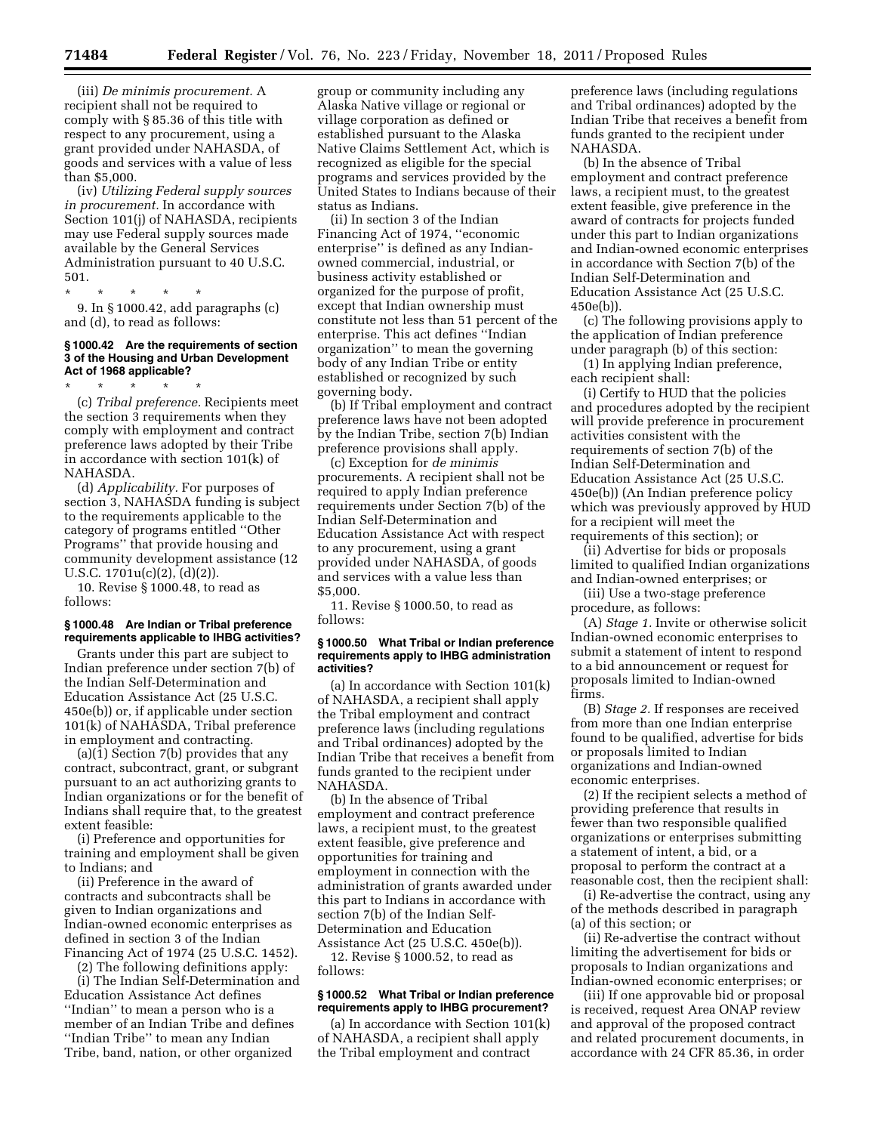(iii) *De minimis procurement.* A recipient shall not be required to comply with § 85.36 of this title with respect to any procurement, using a grant provided under NAHASDA, of goods and services with a value of less than \$5,000.

(iv) *Utilizing Federal supply sources in procurement.* In accordance with Section 101(j) of NAHASDA, recipients may use Federal supply sources made available by the General Services Administration pursuant to 40 U.S.C. 501.

\* \* \* \* \*

9. In § 1000.42, add paragraphs (c) and (d), to read as follows:

### **§ 1000.42 Are the requirements of section 3 of the Housing and Urban Development Act of 1968 applicable?**

\* \* \* \* \*

(c) *Tribal preference.* Recipients meet the section 3 requirements when they comply with employment and contract preference laws adopted by their Tribe in accordance with section 101(k) of NAHASDA.

(d) *Applicability.* For purposes of section 3, NAHASDA funding is subject to the requirements applicable to the category of programs entitled ''Other Programs'' that provide housing and community development assistance (12 U.S.C. 1701u(c)(2), (d)(2)).

10. Revise § 1000.48, to read as follows:

### **§ 1000.48 Are Indian or Tribal preference requirements applicable to IHBG activities?**

Grants under this part are subject to Indian preference under section 7(b) of the Indian Self-Determination and Education Assistance Act (25 U.S.C. 450e(b)) or, if applicable under section 101(k) of NAHASDA, Tribal preference in employment and contracting.

(a)(1) Section 7(b) provides that any contract, subcontract, grant, or subgrant pursuant to an act authorizing grants to Indian organizations or for the benefit of Indians shall require that, to the greatest extent feasible:

(i) Preference and opportunities for training and employment shall be given to Indians; and

(ii) Preference in the award of contracts and subcontracts shall be given to Indian organizations and Indian-owned economic enterprises as defined in section 3 of the Indian Financing Act of 1974 (25 U.S.C. 1452).

(2) The following definitions apply:

(i) The Indian Self-Determination and Education Assistance Act defines ''Indian'' to mean a person who is a member of an Indian Tribe and defines ''Indian Tribe'' to mean any Indian Tribe, band, nation, or other organized

group or community including any Alaska Native village or regional or village corporation as defined or established pursuant to the Alaska Native Claims Settlement Act, which is recognized as eligible for the special programs and services provided by the United States to Indians because of their status as Indians.

(ii) In section 3 of the Indian Financing Act of 1974, ''economic enterprise'' is defined as any Indianowned commercial, industrial, or business activity established or organized for the purpose of profit, except that Indian ownership must constitute not less than 51 percent of the enterprise. This act defines ''Indian organization'' to mean the governing body of any Indian Tribe or entity established or recognized by such governing body.

(b) If Tribal employment and contract preference laws have not been adopted by the Indian Tribe, section 7(b) Indian preference provisions shall apply.

(c) Exception for *de minimis*  procurements. A recipient shall not be required to apply Indian preference requirements under Section 7(b) of the Indian Self-Determination and Education Assistance Act with respect to any procurement, using a grant provided under NAHASDA, of goods and services with a value less than \$5,000.

11. Revise § 1000.50, to read as follows:

#### **§ 1000.50 What Tribal or Indian preference requirements apply to IHBG administration activities?**

(a) In accordance with Section 101(k) of NAHASDA, a recipient shall apply the Tribal employment and contract preference laws (including regulations and Tribal ordinances) adopted by the Indian Tribe that receives a benefit from funds granted to the recipient under NAHASDA.

(b) In the absence of Tribal employment and contract preference laws, a recipient must, to the greatest extent feasible, give preference and opportunities for training and employment in connection with the administration of grants awarded under this part to Indians in accordance with section 7(b) of the Indian Self-Determination and Education Assistance Act (25 U.S.C. 450e(b)).

12. Revise § 1000.52, to read as follows:

### **§ 1000.52 What Tribal or Indian preference requirements apply to IHBG procurement?**

(a) In accordance with Section 101(k) of NAHASDA, a recipient shall apply the Tribal employment and contract

preference laws (including regulations and Tribal ordinances) adopted by the Indian Tribe that receives a benefit from funds granted to the recipient under NAHASDA.

(b) In the absence of Tribal employment and contract preference laws, a recipient must, to the greatest extent feasible, give preference in the award of contracts for projects funded under this part to Indian organizations and Indian-owned economic enterprises in accordance with Section 7(b) of the Indian Self-Determination and Education Assistance Act (25 U.S.C. 450e(b)).

(c) The following provisions apply to the application of Indian preference under paragraph (b) of this section:

(1) In applying Indian preference, each recipient shall:

(i) Certify to HUD that the policies and procedures adopted by the recipient will provide preference in procurement activities consistent with the requirements of section 7(b) of the Indian Self-Determination and Education Assistance Act (25 U.S.C. 450e(b)) (An Indian preference policy which was previously approved by HUD for a recipient will meet the requirements of this section); or

(ii) Advertise for bids or proposals limited to qualified Indian organizations and Indian-owned enterprises; or

(iii) Use a two-stage preference procedure, as follows:

(A) *Stage 1.* Invite or otherwise solicit Indian-owned economic enterprises to submit a statement of intent to respond to a bid announcement or request for proposals limited to Indian-owned firms.

(B) *Stage 2.* If responses are received from more than one Indian enterprise found to be qualified, advertise for bids or proposals limited to Indian organizations and Indian-owned economic enterprises.

(2) If the recipient selects a method of providing preference that results in fewer than two responsible qualified organizations or enterprises submitting a statement of intent, a bid, or a proposal to perform the contract at a reasonable cost, then the recipient shall:

(i) Re-advertise the contract, using any of the methods described in paragraph (a) of this section; or

(ii) Re-advertise the contract without limiting the advertisement for bids or proposals to Indian organizations and Indian-owned economic enterprises; or

(iii) If one approvable bid or proposal is received, request Area ONAP review and approval of the proposed contract and related procurement documents, in accordance with 24 CFR 85.36, in order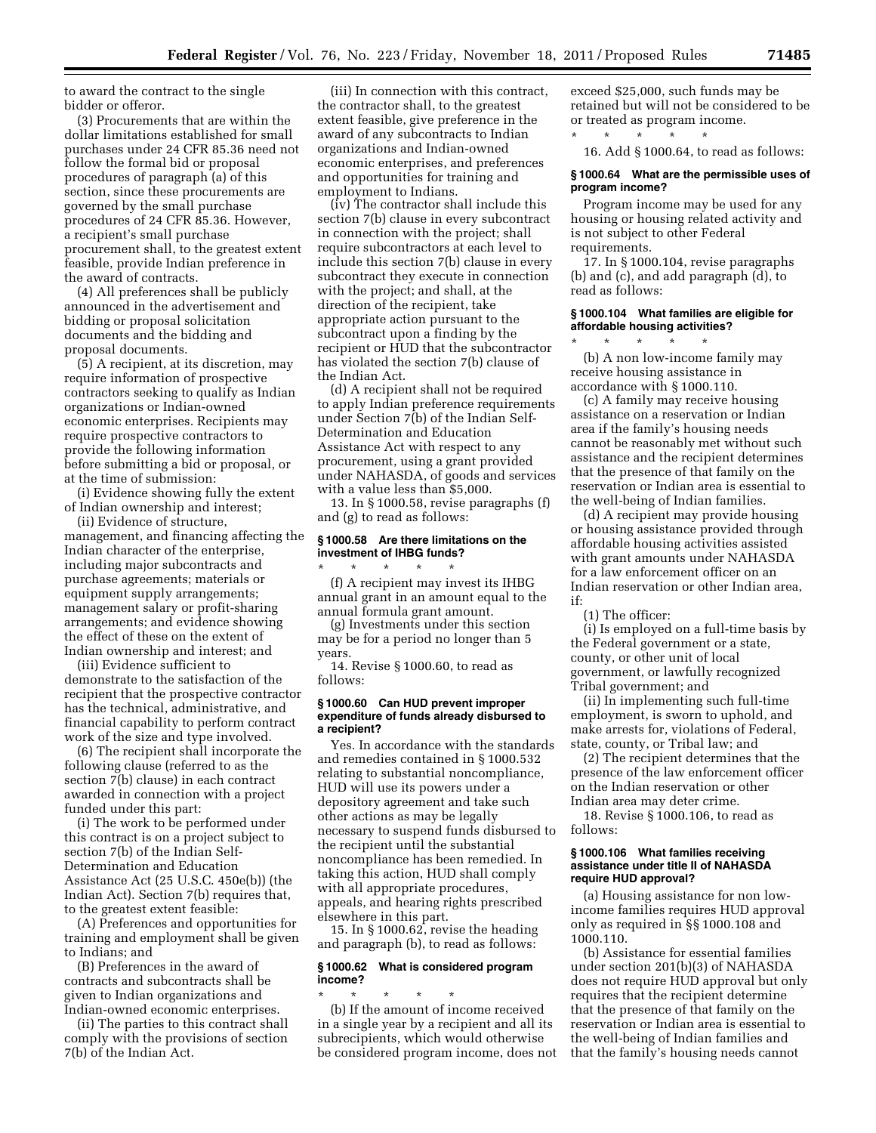to award the contract to the single bidder or offeror.

(3) Procurements that are within the dollar limitations established for small purchases under 24 CFR 85.36 need not follow the formal bid or proposal procedures of paragraph (a) of this section, since these procurements are governed by the small purchase procedures of 24 CFR 85.36. However, a recipient's small purchase procurement shall, to the greatest extent feasible, provide Indian preference in the award of contracts.

(4) All preferences shall be publicly announced in the advertisement and bidding or proposal solicitation documents and the bidding and proposal documents.

(5) A recipient, at its discretion, may require information of prospective contractors seeking to qualify as Indian organizations or Indian-owned economic enterprises. Recipients may require prospective contractors to provide the following information before submitting a bid or proposal, or at the time of submission:

(i) Evidence showing fully the extent of Indian ownership and interest;

(ii) Evidence of structure, management, and financing affecting the Indian character of the enterprise, including major subcontracts and purchase agreements; materials or equipment supply arrangements; management salary or profit-sharing arrangements; and evidence showing the effect of these on the extent of Indian ownership and interest; and

(iii) Evidence sufficient to demonstrate to the satisfaction of the recipient that the prospective contractor has the technical, administrative, and financial capability to perform contract work of the size and type involved.

(6) The recipient shall incorporate the following clause (referred to as the section 7(b) clause) in each contract awarded in connection with a project funded under this part:

(i) The work to be performed under this contract is on a project subject to section 7(b) of the Indian Self-Determination and Education Assistance Act (25 U.S.C. 450e(b)) (the Indian Act). Section 7(b) requires that, to the greatest extent feasible:

(A) Preferences and opportunities for training and employment shall be given to Indians; and

(B) Preferences in the award of contracts and subcontracts shall be given to Indian organizations and Indian-owned economic enterprises.

(ii) The parties to this contract shall comply with the provisions of section 7(b) of the Indian Act.

(iii) In connection with this contract, the contractor shall, to the greatest extent feasible, give preference in the award of any subcontracts to Indian organizations and Indian-owned economic enterprises, and preferences and opportunities for training and employment to Indians.

(iv) The contractor shall include this section 7(b) clause in every subcontract in connection with the project; shall require subcontractors at each level to include this section 7(b) clause in every subcontract they execute in connection with the project; and shall, at the direction of the recipient, take appropriate action pursuant to the subcontract upon a finding by the recipient or HUD that the subcontractor has violated the section 7(b) clause of the Indian Act.

(d) A recipient shall not be required to apply Indian preference requirements under Section 7(b) of the Indian Self-Determination and Education Assistance Act with respect to any procurement, using a grant provided under NAHASDA, of goods and services with a value less than \$5,000.

13. In § 1000.58, revise paragraphs (f) and (g) to read as follows:

# **§ 1000.58 Are there limitations on the investment of IHBG funds?**

\* \* \* \* \* (f) A recipient may invest its IHBG annual grant in an amount equal to the annual formula grant amount.

(g) Investments under this section may be for a period no longer than 5 years.

14. Revise § 1000.60, to read as follows:

#### **§ 1000.60 Can HUD prevent improper expenditure of funds already disbursed to a recipient?**

Yes. In accordance with the standards and remedies contained in § 1000.532 relating to substantial noncompliance, HUD will use its powers under a depository agreement and take such other actions as may be legally necessary to suspend funds disbursed to the recipient until the substantial noncompliance has been remedied. In taking this action, HUD shall comply with all appropriate procedures, appeals, and hearing rights prescribed elsewhere in this part.

15. In § 1000.62, revise the heading and paragraph (b), to read as follows:

# **§ 1000.62 What is considered program income?**

\* \* \* \* \* (b) If the amount of income received in a single year by a recipient and all its subrecipients, which would otherwise be considered program income, does not exceed \$25,000, such funds may be retained but will not be considered to be or treated as program income.

\* \* \* \* \* 16. Add § 1000.64, to read as follows:

### **§ 1000.64 What are the permissible uses of program income?**

Program income may be used for any housing or housing related activity and is not subject to other Federal requirements.

17. In § 1000.104, revise paragraphs (b) and (c), and add paragraph (d), to read as follows:

### **§ 1000.104 What families are eligible for affordable housing activities?**

(b) A non low-income family may receive housing assistance in accordance with § 1000.110.

\* \* \* \* \*

(c) A family may receive housing assistance on a reservation or Indian area if the family's housing needs cannot be reasonably met without such assistance and the recipient determines that the presence of that family on the reservation or Indian area is essential to the well-being of Indian families.

(d) A recipient may provide housing or housing assistance provided through affordable housing activities assisted with grant amounts under NAHASDA for a law enforcement officer on an Indian reservation or other Indian area, if:

(1) The officer:

(i) Is employed on a full-time basis by the Federal government or a state, county, or other unit of local government, or lawfully recognized Tribal government; and

(ii) In implementing such full-time employment, is sworn to uphold, and make arrests for, violations of Federal, state, county, or Tribal law; and

(2) The recipient determines that the presence of the law enforcement officer on the Indian reservation or other Indian area may deter crime.

18. Revise § 1000.106, to read as follows:

#### **§ 1000.106 What families receiving assistance under title II of NAHASDA require HUD approval?**

(a) Housing assistance for non lowincome families requires HUD approval only as required in §§ 1000.108 and 1000.110.

(b) Assistance for essential families under section 201(b)(3) of NAHASDA does not require HUD approval but only requires that the recipient determine that the presence of that family on the reservation or Indian area is essential to the well-being of Indian families and that the family's housing needs cannot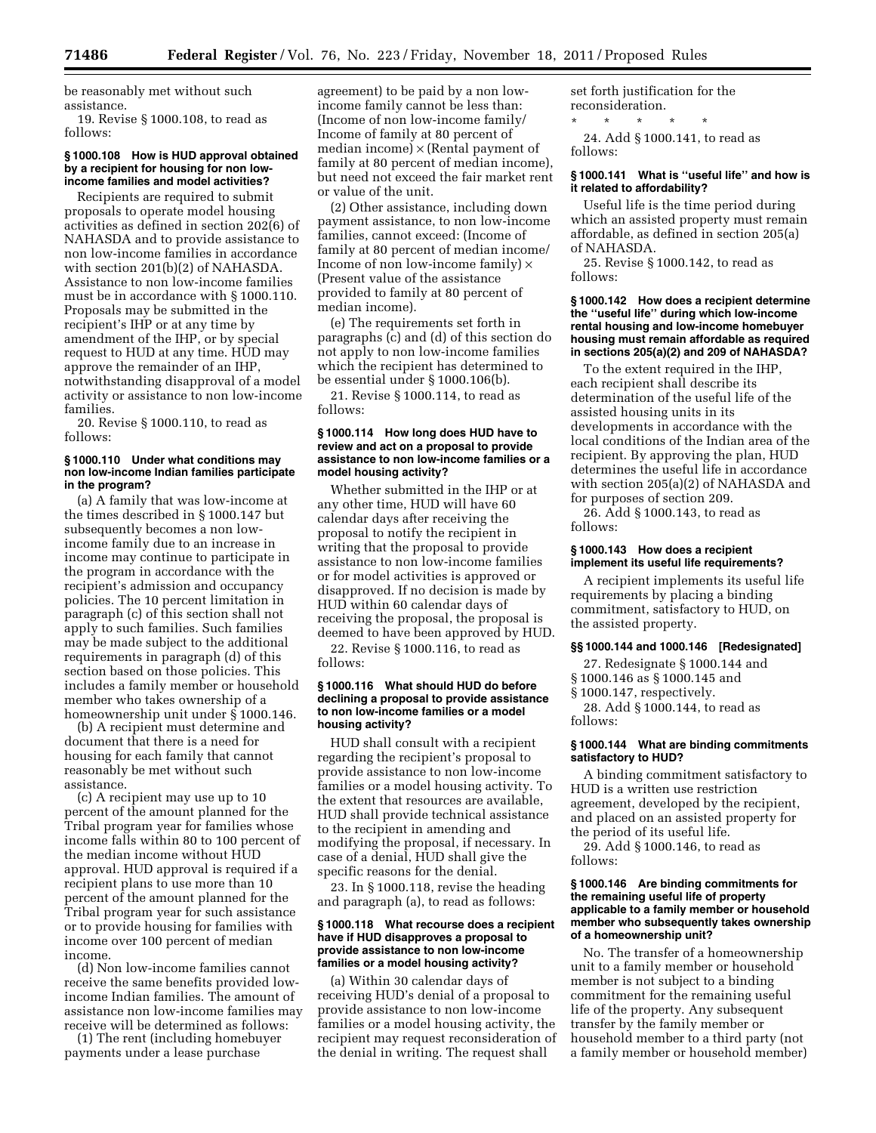be reasonably met without such assistance.

19. Revise § 1000.108, to read as follows:

# **§ 1000.108 How is HUD approval obtained by a recipient for housing for non lowincome families and model activities?**

Recipients are required to submit proposals to operate model housing activities as defined in section 202(6) of NAHASDA and to provide assistance to non low-income families in accordance with section 201(b)(2) of NAHASDA. Assistance to non low-income families must be in accordance with § 1000.110. Proposals may be submitted in the recipient's IHP or at any time by amendment of the IHP, or by special request to HUD at any time. HUD may approve the remainder of an IHP, notwithstanding disapproval of a model activity or assistance to non low-income families.

20. Revise § 1000.110, to read as follows:

### **§ 1000.110 Under what conditions may non low-income Indian families participate in the program?**

(a) A family that was low-income at the times described in § 1000.147 but subsequently becomes a non lowincome family due to an increase in income may continue to participate in the program in accordance with the recipient's admission and occupancy policies. The 10 percent limitation in paragraph (c) of this section shall not apply to such families. Such families may be made subject to the additional requirements in paragraph (d) of this section based on those policies. This includes a family member or household member who takes ownership of a homeownership unit under  $\S$  1000.146.

(b) A recipient must determine and document that there is a need for housing for each family that cannot reasonably be met without such assistance.

(c) A recipient may use up to 10 percent of the amount planned for the Tribal program year for families whose income falls within 80 to 100 percent of the median income without HUD approval. HUD approval is required if a recipient plans to use more than 10 percent of the amount planned for the Tribal program year for such assistance or to provide housing for families with income over 100 percent of median income.

(d) Non low-income families cannot receive the same benefits provided lowincome Indian families. The amount of assistance non low-income families may receive will be determined as follows:

(1) The rent (including homebuyer payments under a lease purchase

agreement) to be paid by a non lowincome family cannot be less than: (Income of non low-income family/ Income of family at 80 percent of median income)  $\times$  (Rental payment of family at 80 percent of median income), but need not exceed the fair market rent or value of the unit.

(2) Other assistance, including down payment assistance, to non low-income families, cannot exceed: (Income of family at 80 percent of median income/ Income of non low-income family)  $\times$ (Present value of the assistance provided to family at 80 percent of median income).

(e) The requirements set forth in paragraphs (c) and (d) of this section do not apply to non low-income families which the recipient has determined to be essential under § 1000.106(b).

21. Revise § 1000.114, to read as follows:

### **§ 1000.114 How long does HUD have to review and act on a proposal to provide assistance to non low-income families or a model housing activity?**

Whether submitted in the IHP or at any other time, HUD will have 60 calendar days after receiving the proposal to notify the recipient in writing that the proposal to provide assistance to non low-income families or for model activities is approved or disapproved. If no decision is made by HUD within 60 calendar days of receiving the proposal, the proposal is deemed to have been approved by HUD.

22. Revise § 1000.116, to read as follows:

#### **§ 1000.116 What should HUD do before declining a proposal to provide assistance to non low-income families or a model housing activity?**

HUD shall consult with a recipient regarding the recipient's proposal to provide assistance to non low-income families or a model housing activity. To the extent that resources are available, HUD shall provide technical assistance to the recipient in amending and modifying the proposal, if necessary. In case of a denial, HUD shall give the specific reasons for the denial.

23. In § 1000.118, revise the heading and paragraph (a), to read as follows:

#### **§ 1000.118 What recourse does a recipient have if HUD disapproves a proposal to provide assistance to non low-income families or a model housing activity?**

(a) Within 30 calendar days of receiving HUD's denial of a proposal to provide assistance to non low-income families or a model housing activity, the recipient may request reconsideration of the denial in writing. The request shall

set forth justification for the reconsideration.

\* \* \* \* \* 24. Add § 1000.141, to read as follows:

### **§ 1000.141 What is ''useful life'' and how is it related to affordability?**

Useful life is the time period during which an assisted property must remain affordable, as defined in section 205(a) of NAHASDA.

25. Revise § 1000.142, to read as follows:

### **§ 1000.142 How does a recipient determine the ''useful life'' during which low-income rental housing and low-income homebuyer housing must remain affordable as required in sections 205(a)(2) and 209 of NAHASDA?**

o the extent required in the IHP, each recipient shall describe its determination of the useful life of the assisted housing units in its developments in accordance with the local conditions of the Indian area of the recipient. By approving the plan, HUD determines the useful life in accordance with section 205(a)(2) of NAHASDA and for purposes of section 209.

26. Add § 1000.143, to read as follows:

#### **§ 1000.143 How does a recipient implement its useful life requirements?**

A recipient implements its useful life requirements by placing a binding commitment, satisfactory to HUD, on the assisted property.

# **§§ 1000.144 and 1000.146 [Redesignated]**

27. Redesignate § 1000.144 and § 1000.146 as § 1000.145 and

§ 1000.147, respectively.

28. Add § 1000.144, to read as follows:

**§ 1000.144 What are binding commitments satisfactory to HUD?** 

A binding commitment satisfactory to HUD is a written use restriction agreement, developed by the recipient, and placed on an assisted property for the period of its useful life.

29. Add § 1000.146, to read as follows:

#### **§ 1000.146 Are binding commitments for the remaining useful life of property applicable to a family member or household member who subsequently takes ownership of a homeownership unit?**

No. The transfer of a homeownership unit to a family member or household member is not subject to a binding commitment for the remaining useful life of the property. Any subsequent transfer by the family member or household member to a third party (not a family member or household member)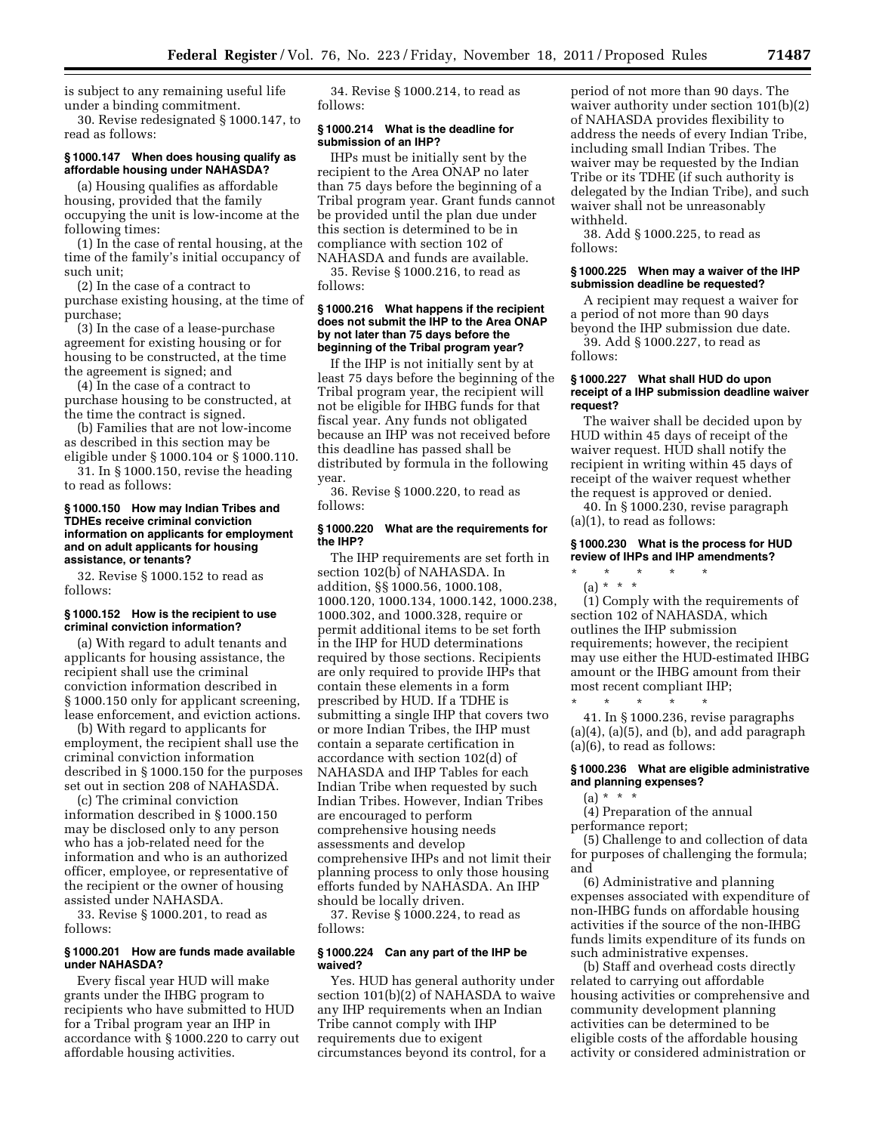is subject to any remaining useful life under a binding commitment.

30. Revise redesignated § 1000.147, to read as follows:

# **§ 1000.147 When does housing qualify as affordable housing under NAHASDA?**

(a) Housing qualifies as affordable housing, provided that the family occupying the unit is low-income at the following times:

(1) In the case of rental housing, at the time of the family's initial occupancy of such unit;

(2) In the case of a contract to purchase existing housing, at the time of purchase;

(3) In the case of a lease-purchase agreement for existing housing or for housing to be constructed, at the time the agreement is signed; and

(4) In the case of a contract to purchase housing to be constructed, at the time the contract is signed.

(b) Families that are not low-income as described in this section may be eligible under § 1000.104 or § 1000.110.

31. In § 1000.150, revise the heading to read as follows:

#### **§ 1000.150 How may Indian Tribes and TDHEs receive criminal conviction information on applicants for employment and on adult applicants for housing assistance, or tenants?**

32. Revise § 1000.152 to read as follows:

### **§ 1000.152 How is the recipient to use criminal conviction information?**

(a) With regard to adult tenants and applicants for housing assistance, the recipient shall use the criminal conviction information described in § 1000.150 only for applicant screening, lease enforcement, and eviction actions.

(b) With regard to applicants for employment, the recipient shall use the criminal conviction information described in § 1000.150 for the purposes set out in section 208 of NAHASDA.

(c) The criminal conviction information described in § 1000.150 may be disclosed only to any person who has a job-related need for the information and who is an authorized officer, employee, or representative of the recipient or the owner of housing assisted under NAHASDA.

33. Revise § 1000.201, to read as follows:

### **§ 1000.201 How are funds made available under NAHASDA?**

Every fiscal year HUD will make grants under the IHBG program to recipients who have submitted to HUD for a Tribal program year an IHP in accordance with § 1000.220 to carry out affordable housing activities.

34. Revise § 1000.214, to read as follows:

### **§ 1000.214 What is the deadline for submission of an IHP?**

IHPs must be initially sent by the recipient to the Area ONAP no later than 75 days before the beginning of a Tribal program year. Grant funds cannot be provided until the plan due under this section is determined to be in compliance with section 102 of NAHASDA and funds are available.

35. Revise § 1000.216, to read as follows:

### **§ 1000.216 What happens if the recipient does not submit the IHP to the Area ONAP by not later than 75 days before the beginning of the Tribal program year?**

If the IHP is not initially sent by at least 75 days before the beginning of the Tribal program year, the recipient will not be eligible for IHBG funds for that fiscal year. Any funds not obligated because an IHP was not received before this deadline has passed shall be distributed by formula in the following year.

36. Revise § 1000.220, to read as follows:

# **§ 1000.220 What are the requirements for the IHP?**

The IHP requirements are set forth in section 102(b) of NAHASDA. In addition, §§ 1000.56, 1000.108, 1000.120, 1000.134, 1000.142, 1000.238, 1000.302, and 1000.328, require or permit additional items to be set forth in the IHP for HUD determinations required by those sections. Recipients are only required to provide IHPs that contain these elements in a form prescribed by HUD. If a TDHE is submitting a single IHP that covers two or more Indian Tribes, the IHP must contain a separate certification in accordance with section 102(d) of NAHASDA and IHP Tables for each Indian Tribe when requested by such Indian Tribes. However, Indian Tribes are encouraged to perform comprehensive housing needs assessments and develop comprehensive IHPs and not limit their planning process to only those housing efforts funded by NAHASDA. An IHP should be locally driven.

37. Revise § 1000.224, to read as follows:

### **§ 1000.224 Can any part of the IHP be waived?**

Yes. HUD has general authority under section 101(b)(2) of NAHASDA to waive any IHP requirements when an Indian Tribe cannot comply with IHP requirements due to exigent circumstances beyond its control, for a

period of not more than 90 days. The waiver authority under section 101(b)(2) of NAHASDA provides flexibility to address the needs of every Indian Tribe, including small Indian Tribes. The waiver may be requested by the Indian Tribe or its TDHE (if such authority is delegated by the Indian Tribe), and such waiver shall not be unreasonably withheld.

38. Add § 1000.225, to read as follows:

#### **§ 1000.225 When may a waiver of the IHP submission deadline be requested?**

A recipient may request a waiver for a period of not more than 90 days beyond the IHP submission due date.

39. Add § 1000.227, to read as follows:

#### **§ 1000.227 What shall HUD do upon receipt of a IHP submission deadline waiver request?**

The waiver shall be decided upon by HUD within 45 days of receipt of the waiver request. HUD shall notify the recipient in writing within 45 days of receipt of the waiver request whether the request is approved or denied.

40. In § 1000.230, revise paragraph (a)(1), to read as follows:

# **§ 1000.230 What is the process for HUD review of IHPs and IHP amendments?**

\* \* \* \* \* (a) \* \* \*

(1) Comply with the requirements of section 102 of NAHASDA, which outlines the IHP submission requirements; however, the recipient may use either the HUD-estimated IHBG amount or the IHBG amount from their most recent compliant IHP;

\* \* \* \* \* 41. In § 1000.236, revise paragraphs  $(a)(4)$ ,  $(a)(5)$ , and  $(b)$ , and add paragraph (a)(6), to read as follows:

### **§ 1000.236 What are eligible administrative and planning expenses?**

 $(a) * * * *$ 

(4) Preparation of the annual performance report;

(5) Challenge to and collection of data for purposes of challenging the formula; and

(6) Administrative and planning expenses associated with expenditure of non-IHBG funds on affordable housing activities if the source of the non-IHBG funds limits expenditure of its funds on such administrative expenses.

(b) Staff and overhead costs directly related to carrying out affordable housing activities or comprehensive and community development planning activities can be determined to be eligible costs of the affordable housing activity or considered administration or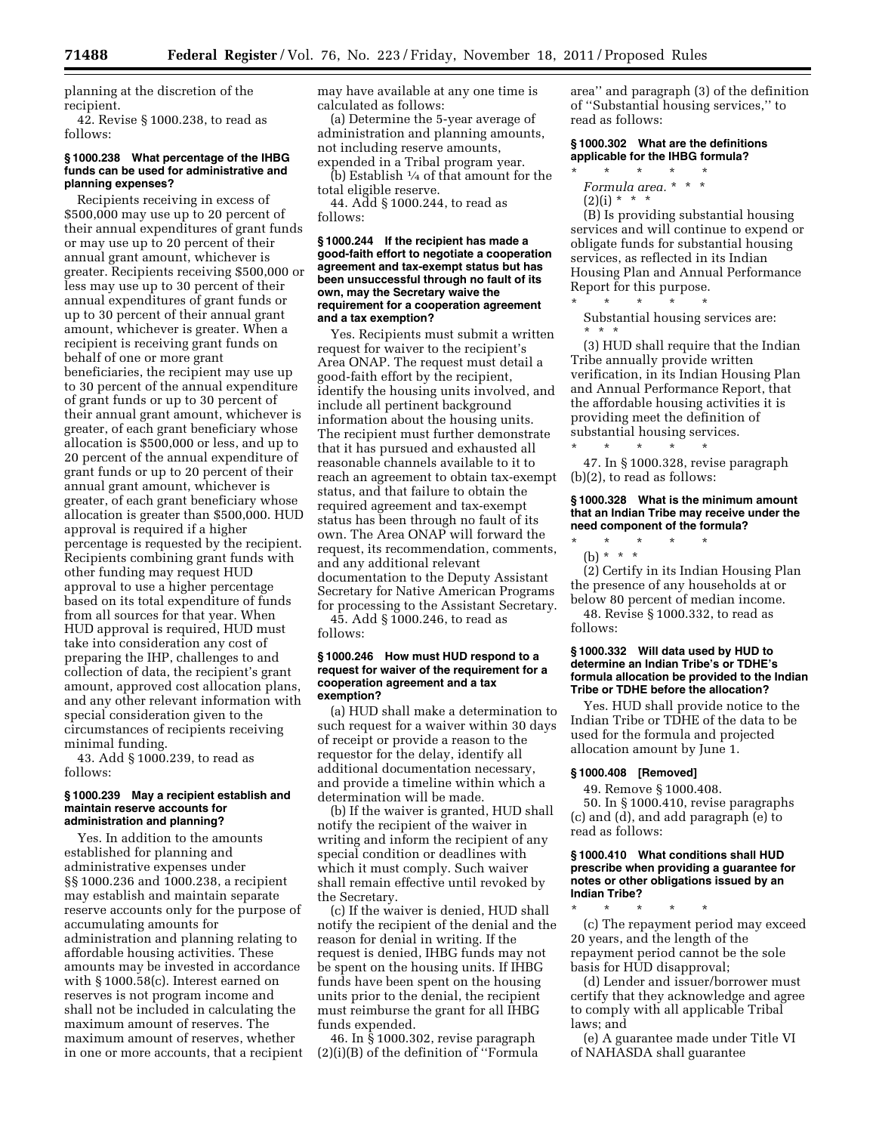planning at the discretion of the recipient.

42. Revise § 1000.238, to read as follows:

### **§ 1000.238 What percentage of the IHBG funds can be used for administrative and planning expenses?**

Recipients receiving in excess of \$500,000 may use up to 20 percent of their annual expenditures of grant funds or may use up to 20 percent of their annual grant amount, whichever is greater. Recipients receiving \$500,000 or less may use up to 30 percent of their annual expenditures of grant funds or up to 30 percent of their annual grant amount, whichever is greater. When a recipient is receiving grant funds on behalf of one or more grant beneficiaries, the recipient may use up to 30 percent of the annual expenditure of grant funds or up to 30 percent of their annual grant amount, whichever is greater, of each grant beneficiary whose allocation is \$500,000 or less, and up to 20 percent of the annual expenditure of grant funds or up to 20 percent of their annual grant amount, whichever is greater, of each grant beneficiary whose allocation is greater than \$500,000. HUD approval is required if a higher percentage is requested by the recipient. Recipients combining grant funds with other funding may request HUD approval to use a higher percentage based on its total expenditure of funds from all sources for that year. When HUD approval is required, HUD must take into consideration any cost of preparing the IHP, challenges to and collection of data, the recipient's grant amount, approved cost allocation plans, and any other relevant information with special consideration given to the circumstances of recipients receiving minimal funding.

43. Add § 1000.239, to read as follows:

#### **§ 1000.239 May a recipient establish and maintain reserve accounts for administration and planning?**

Yes. In addition to the amounts established for planning and administrative expenses under §§ 1000.236 and 1000.238, a recipient may establish and maintain separate reserve accounts only for the purpose of accumulating amounts for administration and planning relating to affordable housing activities. These amounts may be invested in accordance with § 1000.58(c). Interest earned on reserves is not program income and shall not be included in calculating the maximum amount of reserves. The maximum amount of reserves, whether in one or more accounts, that a recipient may have available at any one time is calculated as follows:

(a) Determine the 5-year average of administration and planning amounts, not including reserve amounts, expended in a Tribal program year.

(b) Establish 1⁄4 of that amount for the total eligible reserve.

44. Add § 1000.244, to read as follows:

#### **§ 1000.244 If the recipient has made a good-faith effort to negotiate a cooperation agreement and tax-exempt status but has been unsuccessful through no fault of its own, may the Secretary waive the requirement for a cooperation agreement and a tax exemption?**

Yes. Recipients must submit a written request for waiver to the recipient's Area ONAP. The request must detail a good-faith effort by the recipient, identify the housing units involved, and include all pertinent background information about the housing units. The recipient must further demonstrate that it has pursued and exhausted all reasonable channels available to it to reach an agreement to obtain tax-exempt status, and that failure to obtain the required agreement and tax-exempt status has been through no fault of its own. The Area ONAP will forward the request, its recommendation, comments, and any additional relevant documentation to the Deputy Assistant Secretary for Native American Programs for processing to the Assistant Secretary.

45. Add § 1000.246, to read as follows:

#### **§ 1000.246 How must HUD respond to a request for waiver of the requirement for a cooperation agreement and a tax exemption?**

(a) HUD shall make a determination to such request for a waiver within 30 days of receipt or provide a reason to the requestor for the delay, identify all additional documentation necessary, and provide a timeline within which a determination will be made.

(b) If the waiver is granted, HUD shall notify the recipient of the waiver in writing and inform the recipient of any special condition or deadlines with which it must comply. Such waiver shall remain effective until revoked by the Secretary.

(c) If the waiver is denied, HUD shall notify the recipient of the denial and the reason for denial in writing. If the request is denied, IHBG funds may not be spent on the housing units. If IHBG funds have been spent on the housing units prior to the denial, the recipient must reimburse the grant for all IHBG funds expended.

46. In § 1000.302, revise paragraph (2)(i)(B) of the definition of ''Formula area'' and paragraph (3) of the definition of ''Substantial housing services,'' to read as follows:

## **§ 1000.302 What are the definitions applicable for the IHBG formula?**

- \* \* \* \* \* *Formula area.* \* \* \*
- $(2)(i) * * * *$ (B) Is providing substantial housing

services and will continue to expend or obligate funds for substantial housing services, as reflected in its Indian Housing Plan and Annual Performance Report for this purpose.

\* \* \* \* \* Substantial housing services are: \* \* \*

(3) HUD shall require that the Indian Tribe annually provide written verification, in its Indian Housing Plan and Annual Performance Report, that the affordable housing activities it is providing meet the definition of substantial housing services.

\* \* \* \* \* 47. In § 1000.328, revise paragraph (b)(2), to read as follows:

#### **§ 1000.328 What is the minimum amount that an Indian Tribe may receive under the need component of the formula?**

\* \* \* \* \*

(b) \* \* \* (2) Certify in its Indian Housing Plan the presence of any households at or

below 80 percent of median income. 48. Revise § 1000.332, to read as follows:

### **§ 1000.332 Will data used by HUD to determine an Indian Tribe's or TDHE's formula allocation be provided to the Indian Tribe or TDHE before the allocation?**

Yes. HUD shall provide notice to the Indian Tribe or TDHE of the data to be used for the formula and projected allocation amount by June 1.

### **§ 1000.408 [Removed]**

49. Remove § 1000.408.

50. In § 1000.410, revise paragraphs (c) and (d), and add paragraph (e) to read as follows:

#### **§ 1000.410 What conditions shall HUD prescribe when providing a guarantee for notes or other obligations issued by an Indian Tribe?**

\* \* \* \* \* (c) The repayment period may exceed 20 years, and the length of the repayment period cannot be the sole basis for HUD disapproval;

(d) Lender and issuer/borrower must certify that they acknowledge and agree to comply with all applicable Tribal laws; and

(e) A guarantee made under Title VI of NAHASDA shall guarantee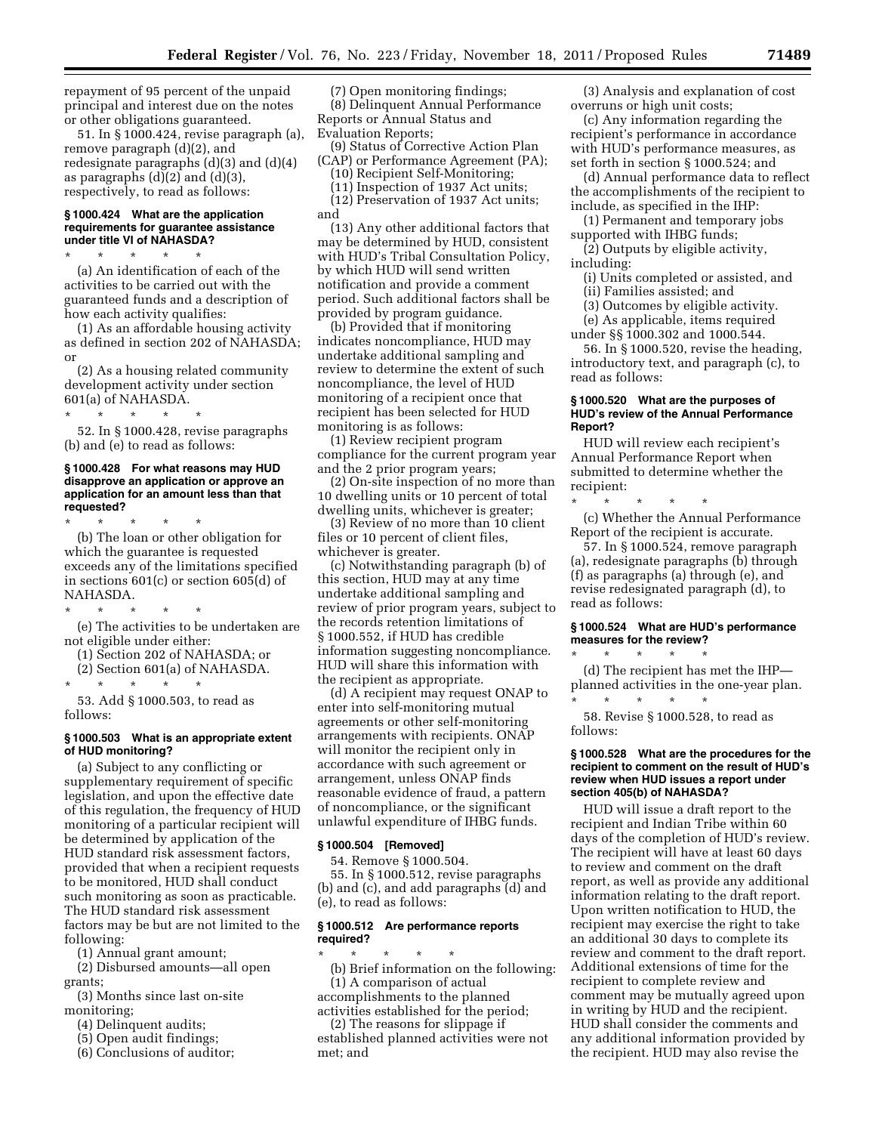repayment of 95 percent of the unpaid principal and interest due on the notes or other obligations guaranteed.

51. In § 1000.424, revise paragraph (a), remove paragraph (d)(2), and redesignate paragraphs (d)(3) and (d)(4) as paragraphs  $(d)(2)$  and  $(d)(3)$ , respectively, to read as follows:

#### **§ 1000.424 What are the application requirements for guarantee assistance under title VI of NAHASDA?**

\* \* \* \* \* (a) An identification of each of the activities to be carried out with the guaranteed funds and a description of how each activity qualifies:

(1) As an affordable housing activity as defined in section 202 of NAHASDA; or

(2) As a housing related community development activity under section 601(a) of NAHASDA.

\* \* \* \* \*

52. In § 1000.428, revise paragraphs (b) and (e) to read as follows:

### **§ 1000.428 For what reasons may HUD disapprove an application or approve an application for an amount less than that requested?**

\* \* \* \* \* (b) The loan or other obligation for which the guarantee is requested exceeds any of the limitations specified in sections 601(c) or section 605(d) of NAHASDA.

\* \* \* \* \* (e) The activities to be undertaken are

not eligible under either:

(1) Section 202 of NAHASDA; or

(2) Section 601(a) of NAHASDA.

\* \* \* \* \*

53. Add § 1000.503, to read as follows:

# **§ 1000.503 What is an appropriate extent of HUD monitoring?**

(a) Subject to any conflicting or supplementary requirement of specific legislation, and upon the effective date of this regulation, the frequency of HUD monitoring of a particular recipient will be determined by application of the HUD standard risk assessment factors, provided that when a recipient requests to be monitored, HUD shall conduct such monitoring as soon as practicable. The HUD standard risk assessment factors may be but are not limited to the following:

(1) Annual grant amount;

(2) Disbursed amounts—all open grants;

(3) Months since last on-site monitoring;

- (4) Delinquent audits;
- (5) Open audit findings;
- (6) Conclusions of auditor;

(7) Open monitoring findings; (8) Delinquent Annual Performance Reports or Annual Status and Evaluation Reports;

(9) Status of Corrective Action Plan (CAP) or Performance Agreement (PA);

(10) Recipient Self-Monitoring; (11) Inspection of 1937 Act units;

(12) Preservation of 1937 Act units; and

(13) Any other additional factors that may be determined by HUD, consistent with HUD's Tribal Consultation Policy, by which HUD will send written notification and provide a comment period. Such additional factors shall be provided by program guidance.

(b) Provided that if monitoring indicates noncompliance, HUD may undertake additional sampling and review to determine the extent of such noncompliance, the level of HUD monitoring of a recipient once that recipient has been selected for HUD monitoring is as follows:

(1) Review recipient program compliance for the current program year and the 2 prior program years;

(2) On-site inspection of no more than 10 dwelling units or 10 percent of total dwelling units, whichever is greater;

(3) Review of no more than 10 client files or 10 percent of client files, whichever is greater.

(c) Notwithstanding paragraph (b) of this section, HUD may at any time undertake additional sampling and review of prior program years, subject to the records retention limitations of § 1000.552, if HUD has credible information suggesting noncompliance. HUD will share this information with the recipient as appropriate.

(d) A recipient may request ONAP to enter into self-monitoring mutual agreements or other self-monitoring arrangements with recipients. ONAP will monitor the recipient only in accordance with such agreement or arrangement, unless ONAP finds reasonable evidence of fraud, a pattern of noncompliance, or the significant unlawful expenditure of IHBG funds.

#### **§ 1000.504 [Removed]**

54. Remove § 1000.504.

55. In § 1000.512, revise paragraphs (b) and (c), and add paragraphs (d) and (e), to read as follows:

#### **§ 1000.512 Are performance reports required?**

\* \* \* \* \* (b) Brief information on the following: (1) A comparison of actual accomplishments to the planned

activities established for the period; (2) The reasons for slippage if established planned activities were not met; and

(3) Analysis and explanation of cost overruns or high unit costs;

(c) Any information regarding the recipient's performance in accordance with HUD's performance measures, as set forth in section § 1000.524; and

(d) Annual performance data to reflect the accomplishments of the recipient to include, as specified in the IHP:

(1) Permanent and temporary jobs supported with IHBG funds;

(2) Outputs by eligible activity, including:

(i) Units completed or assisted, and (ii) Families assisted; and

(3) Outcomes by eligible activity.

(e) As applicable, items required

under §§ 1000.302 and 1000.544.

56. In § 1000.520, revise the heading, introductory text, and paragraph (c), to read as follows:

# **§ 1000.520 What are the purposes of HUD's review of the Annual Performance Report?**

HUD will review each recipient's Annual Performance Report when submitted to determine whether the recipient:

\* \* \* \* \* (c) Whether the Annual Performance Report of the recipient is accurate.

57. In § 1000.524, remove paragraph (a), redesignate paragraphs (b) through (f) as paragraphs (a) through (e), and revise redesignated paragraph (d), to read as follows:

### **§ 1000.524 What are HUD's performance measures for the review?**

\* \* \* \* \* (d) The recipient has met the IHP planned activities in the one-year plan. \* \* \* \* \*

58. Revise § 1000.528, to read as follows:

#### **§ 1000.528 What are the procedures for the recipient to comment on the result of HUD's review when HUD issues a report under section 405(b) of NAHASDA?**

HUD will issue a draft report to the recipient and Indian Tribe within 60 days of the completion of HUD's review. The recipient will have at least 60 days to review and comment on the draft report, as well as provide any additional information relating to the draft report. Upon written notification to HUD, the recipient may exercise the right to take an additional 30 days to complete its review and comment to the draft report. Additional extensions of time for the recipient to complete review and comment may be mutually agreed upon in writing by HUD and the recipient. HUD shall consider the comments and any additional information provided by the recipient. HUD may also revise the